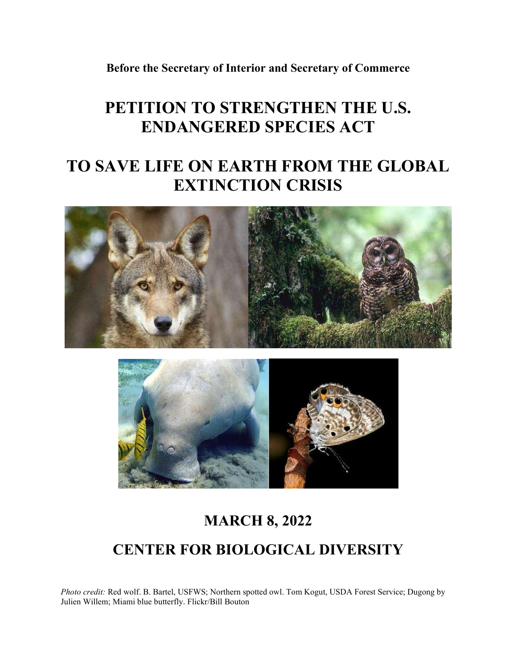Before the Secretary of Interior and Secretary of Commerce

# PETITION TO STRENGTHEN THE U.S. ENDANGERED SPECIES ACT

# TO SAVE LIFE ON EARTH FROM THE GLOBAL EXTINCTION CRISIS





# MARCH 8, 2022

# CENTER FOR BIOLOGICAL DIVERSITY

Photo credit: Red wolf. B. Bartel, USFWS; Northern spotted owl. Tom Kogut, USDA Forest Service; Dugong by Julien Willem; Miami blue butterfly. Flickr/Bill Bouton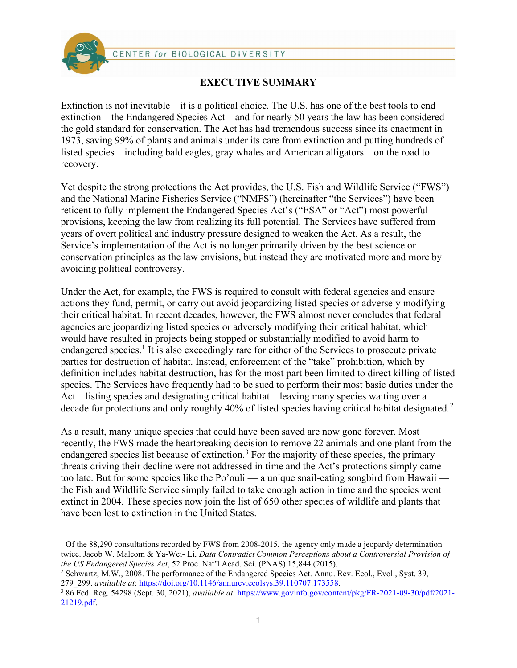

## EXECUTIVE SUMMARY

Extinction is not inevitable – it is a political choice. The U.S. has one of the best tools to end extinction—the Endangered Species Act—and for nearly 50 years the law has been considered the gold standard for conservation. The Act has had tremendous success since its enactment in 1973, saving 99% of plants and animals under its care from extinction and putting hundreds of listed species—including bald eagles, gray whales and American alligators—on the road to recovery.

Yet despite the strong protections the Act provides, the U.S. Fish and Wildlife Service ("FWS") and the National Marine Fisheries Service ("NMFS") (hereinafter "the Services") have been reticent to fully implement the Endangered Species Act's ("ESA" or "Act") most powerful provisions, keeping the law from realizing its full potential. The Services have suffered from years of overt political and industry pressure designed to weaken the Act. As a result, the Service's implementation of the Act is no longer primarily driven by the best science or conservation principles as the law envisions, but instead they are motivated more and more by avoiding political controversy.

Under the Act, for example, the FWS is required to consult with federal agencies and ensure actions they fund, permit, or carry out avoid jeopardizing listed species or adversely modifying their critical habitat. In recent decades, however, the FWS almost never concludes that federal agencies are jeopardizing listed species or adversely modifying their critical habitat, which would have resulted in projects being stopped or substantially modified to avoid harm to endangered species.<sup>1</sup> It is also exceedingly rare for either of the Services to prosecute private parties for destruction of habitat. Instead, enforcement of the "take" prohibition, which by definition includes habitat destruction, has for the most part been limited to direct killing of listed species. The Services have frequently had to be sued to perform their most basic duties under the Act—listing species and designating critical habitat—leaving many species waiting over a decade for protections and only roughly 40% of listed species having critical habitat designated.<sup>2</sup>

As a result, many unique species that could have been saved are now gone forever. Most recently, the FWS made the heartbreaking decision to remove 22 animals and one plant from the endangered species list because of extinction.<sup>3</sup> For the majority of these species, the primary threats driving their decline were not addressed in time and the Act's protections simply came too late. But for some species like the Po'ouli — a unique snail-eating songbird from Hawaii the Fish and Wildlife Service simply failed to take enough action in time and the species went extinct in 2004. These species now join the list of 650 other species of wildlife and plants that have been lost to extinction in the United States.

<sup>&</sup>lt;sup>1</sup> Of the 88,290 consultations recorded by FWS from 2008-2015, the agency only made a jeopardy determination twice. Jacob W. Malcom & Ya-Wei- Li, Data Contradict Common Perceptions about a Controversial Provision of the US Endangered Species Act, 52 Proc. Nat'l Acad. Sci. (PNAS) 15,844 (2015).

<sup>2</sup> Schwartz, M.W., 2008. The performance of the Endangered Species Act. Annu. Rev. Ecol., Evol., Syst. 39, 279 299. available at: https://doi.org/10.1146/annurev.ecolsys.39.110707.173558.

<sup>&</sup>lt;sup>3</sup> 86 Fed. Reg. 54298 (Sept. 30, 2021), *available at*: https://www.govinfo.gov/content/pkg/FR-2021-09-30/pdf/2021-21219.pdf.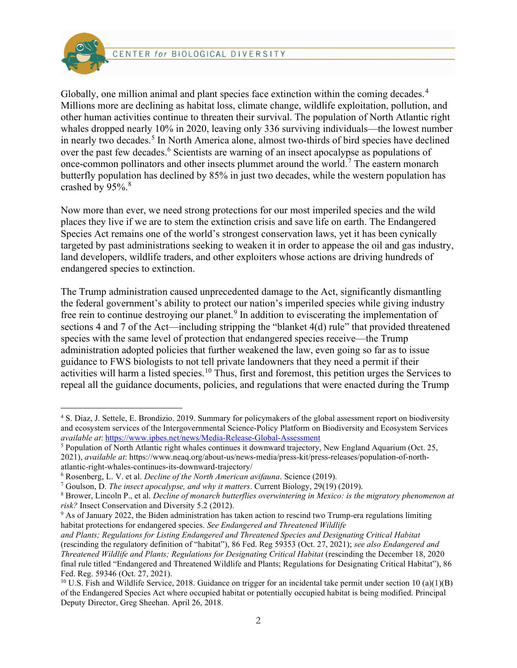Globally, one million animal and plant species face extinction within the coming decades.<sup>4</sup> Millions more are declining as habitat loss, climate change, wildlife exploitation, pollution, and other human activities continue to threaten their survival. The population of North Atlantic right whales dropped nearly 10% in 2020, leaving only 336 surviving individuals—the lowest number in nearly two decades.<sup>5</sup> In North America alone, almost two-thirds of bird species have declined over the past few decades.<sup>6</sup> Scientists are warning of an insect apocalypse as populations of once-common pollinators and other insects plummet around the world.<sup>7</sup> The eastern monarch butterfly population has declined by 85% in just two decades, while the western population has crashed by  $95\%$ .<sup>8</sup>

Now more than ever, we need strong protections for our most imperiled species and the wild places they live if we are to stem the extinction crisis and save life on earth. The Endangered Species Act remains one of the world's strongest conservation laws, yet it has been cynically targeted by past administrations seeking to weaken it in order to appease the oil and gas industry, land developers, wildlife traders, and other exploiters whose actions are driving hundreds of endangered species to extinction.

The Trump administration caused unprecedented damage to the Act, significantly dismantling the federal government's ability to protect our nation's imperiled species while giving industry free rein to continue destroying our planet.<sup>9</sup> In addition to eviscerating the implementation of sections 4 and 7 of the Act—including stripping the "blanket 4(d) rule" that provided threatened species with the same level of protection that endangered species receive—the Trump administration adopted policies that further weakened the law, even going so far as to issue guidance to FWS biologists to not tell private landowners that they need a permit if their activities will harm a listed species.<sup>10</sup> Thus, first and foremost, this petition urges the Services to repeal all the guidance documents, policies, and regulations that were enacted during the Trump

<sup>4</sup> S. Diaz, J. Settele, E. Brondizio. 2019. Summary for policymakers of the global assessment report on biodiversity and ecosystem services of the Intergovernmental Science-Policy Platform on Biodiversity and Ecosystem Services available at: https://www.ipbes.net/news/Media-Release-Global-Assessment

<sup>&</sup>lt;sup>5</sup> Population of North Atlantic right whales continues it downward trajectory, New England Aquarium (Oct. 25, 2021), available at: https://www.neaq.org/about-us/news-media/press-kit/press-releases/population-of-northatlantic-right-whales-continues-its-downward-trajectory/

 $6$  Rosenberg, L. V. et al. *Decline of the North American avifauna*. Science (2019).

<sup>&</sup>lt;sup>7</sup> Goulson, D. *The insect apocalypse, and why it matters*. Current Biology,  $29(19)$  (2019).

 $8$  Brower, Lincoln P., et al. Decline of monarch butterflies overwintering in Mexico: is the migratory phenomenon at risk? Insect Conservation and Diversity 5.2 (2012).

<sup>&</sup>lt;sup>9</sup> As of January 2022, the Biden administration has taken action to rescind two Trump-era regulations limiting habitat protections for endangered species. See Endangered and Threatened Wildlife

and Plants; Regulations for Listing Endangered and Threatened Species and Designating Critical Habitat (rescinding the regulatory definition of "habitat"), 86 Fed. Reg 59353 (Oct. 27, 2021); see also Endangered and Threatened Wildlife and Plants; Regulations for Designating Critical Habitat (rescinding the December 18, 2020 final rule titled "Endangered and Threatened Wildlife and Plants; Regulations for Designating Critical Habitat"), 86 Fed. Reg. 59346 (Oct. 27, 2021).

<sup>&</sup>lt;sup>10</sup> U.S. Fish and Wildlife Service, 2018. Guidance on trigger for an incidental take permit under section 10 (a)(1)(B) of the Endangered Species Act where occupied habitat or potentially occupied habitat is being modified. Principal Deputy Director, Greg Sheehan. April 26, 2018.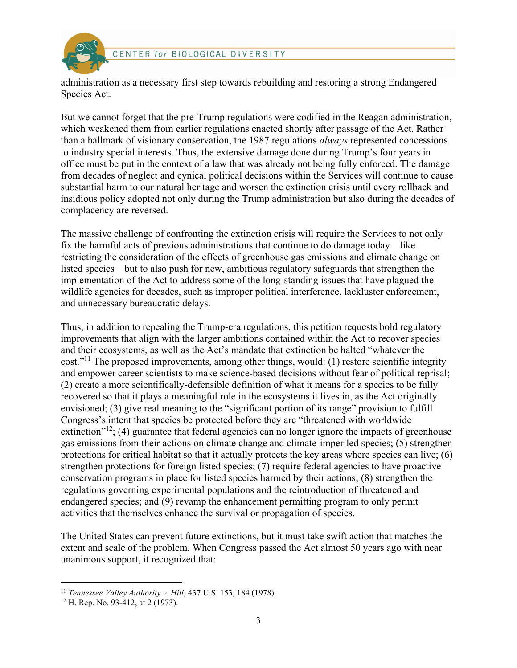

administration as a necessary first step towards rebuilding and restoring a strong Endangered Species Act.

But we cannot forget that the pre-Trump regulations were codified in the Reagan administration, which weakened them from earlier regulations enacted shortly after passage of the Act. Rather than a hallmark of visionary conservation, the 1987 regulations always represented concessions to industry special interests. Thus, the extensive damage done during Trump's four years in office must be put in the context of a law that was already not being fully enforced. The damage from decades of neglect and cynical political decisions within the Services will continue to cause substantial harm to our natural heritage and worsen the extinction crisis until every rollback and insidious policy adopted not only during the Trump administration but also during the decades of complacency are reversed.

The massive challenge of confronting the extinction crisis will require the Services to not only fix the harmful acts of previous administrations that continue to do damage today—like restricting the consideration of the effects of greenhouse gas emissions and climate change on listed species—but to also push for new, ambitious regulatory safeguards that strengthen the implementation of the Act to address some of the long-standing issues that have plagued the wildlife agencies for decades, such as improper political interference, lackluster enforcement, and unnecessary bureaucratic delays.

Thus, in addition to repealing the Trump-era regulations, this petition requests bold regulatory improvements that align with the larger ambitions contained within the Act to recover species and their ecosystems, as well as the Act's mandate that extinction be halted "whatever the cost."<sup>11</sup> The proposed improvements, among other things, would: (1) restore scientific integrity and empower career scientists to make science-based decisions without fear of political reprisal; (2) create a more scientifically-defensible definition of what it means for a species to be fully recovered so that it plays a meaningful role in the ecosystems it lives in, as the Act originally envisioned; (3) give real meaning to the "significant portion of its range" provision to fulfill Congress's intent that species be protected before they are "threatened with worldwide extinction"<sup>12</sup>; (4) guarantee that federal agencies can no longer ignore the impacts of greenhouse gas emissions from their actions on climate change and climate-imperiled species; (5) strengthen protections for critical habitat so that it actually protects the key areas where species can live; (6) strengthen protections for foreign listed species; (7) require federal agencies to have proactive conservation programs in place for listed species harmed by their actions; (8) strengthen the regulations governing experimental populations and the reintroduction of threatened and endangered species; and (9) revamp the enhancement permitting program to only permit activities that themselves enhance the survival or propagation of species.

The United States can prevent future extinctions, but it must take swift action that matches the extent and scale of the problem. When Congress passed the Act almost 50 years ago with near unanimous support, it recognized that:

 $11$  Tennessee Valley Authority v. Hill, 437 U.S. 153, 184 (1978).

<sup>&</sup>lt;sup>12</sup> H. Rep. No. 93-412, at 2 (1973).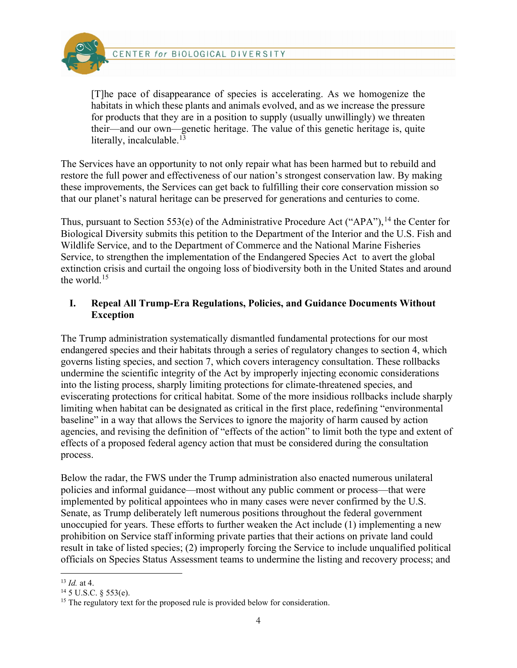

[T]he pace of disappearance of species is accelerating. As we homogenize the habitats in which these plants and animals evolved, and as we increase the pressure for products that they are in a position to supply (usually unwillingly) we threaten their—and our own—genetic heritage. The value of this genetic heritage is, quite literally, incalculable. $^{13}$ 

The Services have an opportunity to not only repair what has been harmed but to rebuild and restore the full power and effectiveness of our nation's strongest conservation law. By making these improvements, the Services can get back to fulfilling their core conservation mission so that our planet's natural heritage can be preserved for generations and centuries to come.

Thus, pursuant to Section 553(e) of the Administrative Procedure Act ("APA"),  $^{14}$  the Center for Biological Diversity submits this petition to the Department of the Interior and the U.S. Fish and Wildlife Service, and to the Department of Commerce and the National Marine Fisheries Service, to strengthen the implementation of the Endangered Species Act to avert the global extinction crisis and curtail the ongoing loss of biodiversity both in the United States and around the world.<sup>15</sup>

## I. Repeal All Trump-Era Regulations, Policies, and Guidance Documents Without Exception

The Trump administration systematically dismantled fundamental protections for our most endangered species and their habitats through a series of regulatory changes to section 4, which governs listing species, and section 7, which covers interagency consultation. These rollbacks undermine the scientific integrity of the Act by improperly injecting economic considerations into the listing process, sharply limiting protections for climate-threatened species, and eviscerating protections for critical habitat. Some of the more insidious rollbacks include sharply limiting when habitat can be designated as critical in the first place, redefining "environmental baseline" in a way that allows the Services to ignore the majority of harm caused by action agencies, and revising the definition of "effects of the action" to limit both the type and extent of effects of a proposed federal agency action that must be considered during the consultation process.

Below the radar, the FWS under the Trump administration also enacted numerous unilateral policies and informal guidance—most without any public comment or process—that were implemented by political appointees who in many cases were never confirmed by the U.S. Senate, as Trump deliberately left numerous positions throughout the federal government unoccupied for years. These efforts to further weaken the Act include (1) implementing a new prohibition on Service staff informing private parties that their actions on private land could result in take of listed species; (2) improperly forcing the Service to include unqualified political officials on Species Status Assessment teams to undermine the listing and recovery process; and

 $13$  *Id.* at 4.

 $14$  5 U.S.C. § 553(e).

<sup>&</sup>lt;sup>15</sup> The regulatory text for the proposed rule is provided below for consideration.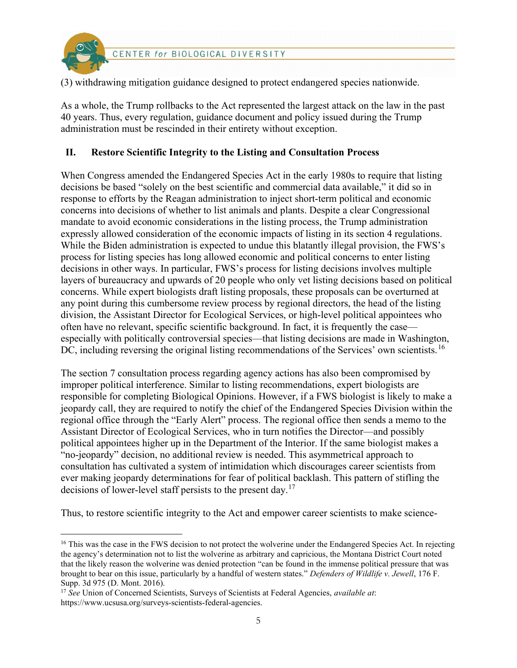

(3) withdrawing mitigation guidance designed to protect endangered species nationwide.

As a whole, the Trump rollbacks to the Act represented the largest attack on the law in the past 40 years. Thus, every regulation, guidance document and policy issued during the Trump administration must be rescinded in their entirety without exception.

# II. Restore Scientific Integrity to the Listing and Consultation Process

When Congress amended the Endangered Species Act in the early 1980s to require that listing decisions be based "solely on the best scientific and commercial data available," it did so in response to efforts by the Reagan administration to inject short-term political and economic concerns into decisions of whether to list animals and plants. Despite a clear Congressional mandate to avoid economic considerations in the listing process, the Trump administration expressly allowed consideration of the economic impacts of listing in its section 4 regulations. While the Biden administration is expected to undue this blatantly illegal provision, the FWS's process for listing species has long allowed economic and political concerns to enter listing decisions in other ways. In particular, FWS's process for listing decisions involves multiple layers of bureaucracy and upwards of 20 people who only vet listing decisions based on political concerns. While expert biologists draft listing proposals, these proposals can be overturned at any point during this cumbersome review process by regional directors, the head of the listing division, the Assistant Director for Ecological Services, or high-level political appointees who often have no relevant, specific scientific background. In fact, it is frequently the case especially with politically controversial species—that listing decisions are made in Washington, DC, including reversing the original listing recommendations of the Services' own scientists.<sup>16</sup>

The section 7 consultation process regarding agency actions has also been compromised by improper political interference. Similar to listing recommendations, expert biologists are responsible for completing Biological Opinions. However, if a FWS biologist is likely to make a jeopardy call, they are required to notify the chief of the Endangered Species Division within the regional office through the "Early Alert" process. The regional office then sends a memo to the Assistant Director of Ecological Services, who in turn notifies the Director—and possibly political appointees higher up in the Department of the Interior. If the same biologist makes a "no-jeopardy" decision, no additional review is needed. This asymmetrical approach to consultation has cultivated a system of intimidation which discourages career scientists from ever making jeopardy determinations for fear of political backlash. This pattern of stifling the decisions of lower-level staff persists to the present day.<sup>17</sup>

Thus, to restore scientific integrity to the Act and empower career scientists to make science-

<sup>&</sup>lt;sup>16</sup> This was the case in the FWS decision to not protect the wolverine under the Endangered Species Act. In rejecting the agency's determination not to list the wolverine as arbitrary and capricious, the Montana District Court noted that the likely reason the wolverine was denied protection "can be found in the immense political pressure that was brought to bear on this issue, particularly by a handful of western states." Defenders of Wildlife v. Jewell, 176 F. Supp. 3d 975 (D. Mont. 2016).

 $17$  See Union of Concerned Scientists, Surveys of Scientists at Federal Agencies, *available at*: https://www.ucsusa.org/surveys-scientists-federal-agencies.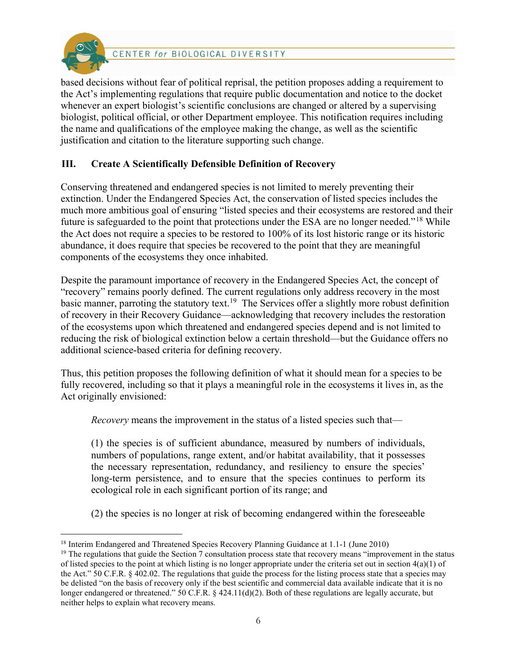

based decisions without fear of political reprisal, the petition proposes adding a requirement to the Act's implementing regulations that require public documentation and notice to the docket whenever an expert biologist's scientific conclusions are changed or altered by a supervising biologist, political official, or other Department employee. This notification requires including the name and qualifications of the employee making the change, as well as the scientific justification and citation to the literature supporting such change.

## III. Create A Scientifically Defensible Definition of Recovery

Conserving threatened and endangered species is not limited to merely preventing their extinction. Under the Endangered Species Act, the conservation of listed species includes the much more ambitious goal of ensuring "listed species and their ecosystems are restored and their future is safeguarded to the point that protections under the ESA are no longer needed."<sup>18</sup> While the Act does not require a species to be restored to 100% of its lost historic range or its historic abundance, it does require that species be recovered to the point that they are meaningful components of the ecosystems they once inhabited.

Despite the paramount importance of recovery in the Endangered Species Act, the concept of "recovery" remains poorly defined. The current regulations only address recovery in the most basic manner, parroting the statutory text.<sup>19</sup> The Services offer a slightly more robust definition of recovery in their Recovery Guidance—acknowledging that recovery includes the restoration of the ecosystems upon which threatened and endangered species depend and is not limited to reducing the risk of biological extinction below a certain threshold—but the Guidance offers no additional science-based criteria for defining recovery.

Thus, this petition proposes the following definition of what it should mean for a species to be fully recovered, including so that it plays a meaningful role in the ecosystems it lives in, as the Act originally envisioned:

Recovery means the improvement in the status of a listed species such that—

(1) the species is of sufficient abundance, measured by numbers of individuals, numbers of populations, range extent, and/or habitat availability, that it possesses the necessary representation, redundancy, and resiliency to ensure the species' long-term persistence, and to ensure that the species continues to perform its ecological role in each significant portion of its range; and

(2) the species is no longer at risk of becoming endangered within the foreseeable

<sup>&</sup>lt;sup>18</sup> Interim Endangered and Threatened Species Recovery Planning Guidance at 1.1-1 (June 2010)

 $19$  The regulations that guide the Section 7 consultation process state that recovery means "improvement in the status of listed species to the point at which listing is no longer appropriate under the criteria set out in section  $4(a)(1)$  of the Act." 50 C.F.R. § 402.02. The regulations that guide the process for the listing process state that a species may be delisted "on the basis of recovery only if the best scientific and commercial data available indicate that it is no longer endangered or threatened." 50 C.F.R. § 424.11(d)(2). Both of these regulations are legally accurate, but neither helps to explain what recovery means.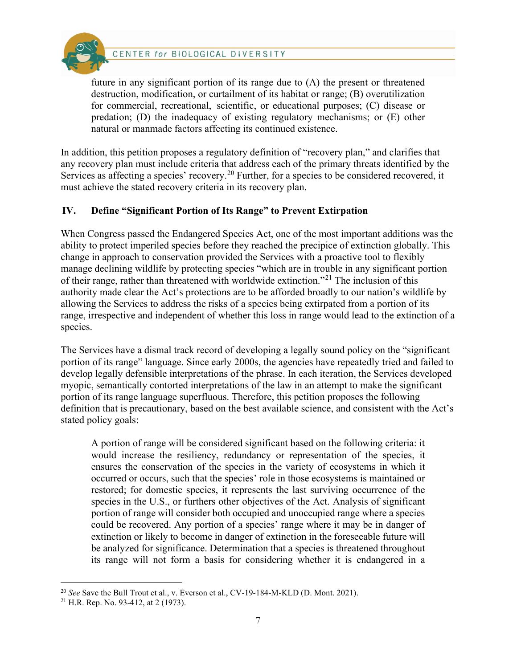

future in any significant portion of its range due to (A) the present or threatened destruction, modification, or curtailment of its habitat or range; (B) overutilization for commercial, recreational, scientific, or educational purposes; (C) disease or predation; (D) the inadequacy of existing regulatory mechanisms; or (E) other natural or manmade factors affecting its continued existence.

In addition, this petition proposes a regulatory definition of "recovery plan," and clarifies that any recovery plan must include criteria that address each of the primary threats identified by the Services as affecting a species' recovery.<sup>20</sup> Further, for a species to be considered recovered, it must achieve the stated recovery criteria in its recovery plan.

## IV. Define "Significant Portion of Its Range" to Prevent Extirpation

When Congress passed the Endangered Species Act, one of the most important additions was the ability to protect imperiled species before they reached the precipice of extinction globally. This change in approach to conservation provided the Services with a proactive tool to flexibly manage declining wildlife by protecting species "which are in trouble in any significant portion of their range, rather than threatened with worldwide extinction."<sup>21</sup> The inclusion of this authority made clear the Act's protections are to be afforded broadly to our nation's wildlife by allowing the Services to address the risks of a species being extirpated from a portion of its range, irrespective and independent of whether this loss in range would lead to the extinction of a species.

The Services have a dismal track record of developing a legally sound policy on the "significant portion of its range" language. Since early 2000s, the agencies have repeatedly tried and failed to develop legally defensible interpretations of the phrase. In each iteration, the Services developed myopic, semantically contorted interpretations of the law in an attempt to make the significant portion of its range language superfluous. Therefore, this petition proposes the following definition that is precautionary, based on the best available science, and consistent with the Act's stated policy goals:

A portion of range will be considered significant based on the following criteria: it would increase the resiliency, redundancy or representation of the species, it ensures the conservation of the species in the variety of ecosystems in which it occurred or occurs, such that the species' role in those ecosystems is maintained or restored; for domestic species, it represents the last surviving occurrence of the species in the U.S., or furthers other objectives of the Act. Analysis of significant portion of range will consider both occupied and unoccupied range where a species could be recovered. Any portion of a species' range where it may be in danger of extinction or likely to become in danger of extinction in the foreseeable future will be analyzed for significance. Determination that a species is threatened throughout its range will not form a basis for considering whether it is endangered in a

 $20$  See Save the Bull Trout et al., v. Everson et al., CV-19-184-M-KLD (D. Mont. 2021).

<sup>21</sup> H.R. Rep. No. 93-412, at 2 (1973).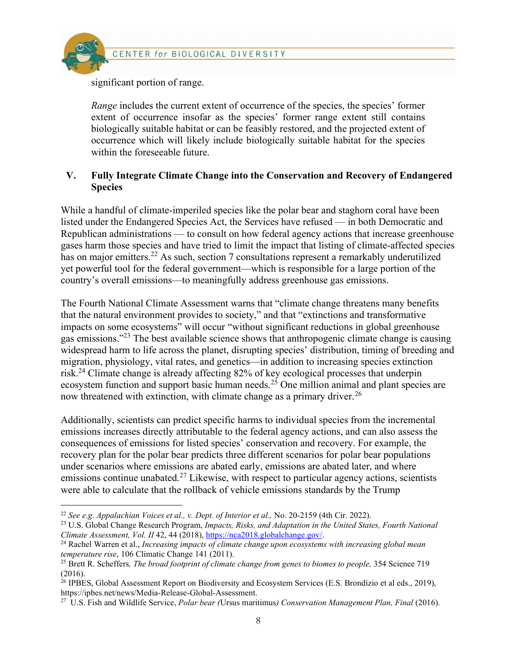

Range includes the current extent of occurrence of the species, the species' former extent of occurrence insofar as the species' former range extent still contains biologically suitable habitat or can be feasibly restored, and the projected extent of occurrence which will likely include biologically suitable habitat for the species within the foreseeable future.

#### V. Fully Integrate Climate Change into the Conservation and Recovery of Endangered Species

While a handful of climate-imperiled species like the polar bear and staghorn coral have been listed under the Endangered Species Act, the Services have refused — in both Democratic and Republican administrations — to consult on how federal agency actions that increase greenhouse gases harm those species and have tried to limit the impact that listing of climate-affected species has on major emitters.<sup>22</sup> As such, section 7 consultations represent a remarkably underutilized yet powerful tool for the federal government—which is responsible for a large portion of the country's overall emissions—to meaningfully address greenhouse gas emissions.

The Fourth National Climate Assessment warns that "climate change threatens many benefits that the natural environment provides to society," and that "extinctions and transformative impacts on some ecosystems" will occur "without significant reductions in global greenhouse gas emissions."<sup>23</sup> The best available science shows that anthropogenic climate change is causing widespread harm to life across the planet, disrupting species' distribution, timing of breeding and migration, physiology, vital rates, and genetics—in addition to increasing species extinction risk.<sup>24</sup> Climate change is already affecting 82% of key ecological processes that underpin ecosystem function and support basic human needs.<sup>25</sup> One million animal and plant species are now threatened with extinction, with climate change as a primary driver.<sup>26</sup>

Additionally, scientists can predict specific harms to individual species from the incremental emissions increases directly attributable to the federal agency actions, and can also assess the consequences of emissions for listed species' conservation and recovery. For example, the recovery plan for the polar bear predicts three different scenarios for polar bear populations under scenarios where emissions are abated early, emissions are abated later, and where emissions continue unabated.<sup>27</sup> Likewise, with respect to particular agency actions, scientists were able to calculate that the rollback of vehicle emissions standards by the Trump

<sup>&</sup>lt;sup>22</sup> See e.g. Appalachian Voices et al., v. Dept. of Interior et al., No. 20-2159 (4th Cir. 2022).

<sup>&</sup>lt;sup>23</sup> U.S. Global Change Research Program, Impacts, Risks, and Adaptation in the United States, Fourth National Climate Assessment, Vol. II 42, 44 (2018), https://nca2018.globalchange.gov/.

 $24$  Rachel Warren et al., Increasing impacts of climate change upon ecosystems with increasing global mean temperature rise, 106 Climatic Change 141 (2011).

<sup>&</sup>lt;sup>25</sup> Brett R. Scheffers, *The broad footprint of climate change from genes to biomes to people*,  $354$  Science  $719$ (2016).

<sup>&</sup>lt;sup>26</sup> IPBES, Global Assessment Report on Biodiversity and Ecosystem Services (E.S. Brondízio et al eds., 2019), https://ipbes.net/news/Media-Release-Global-Assessment.

 $27$  U.S. Fish and Wildlife Service, Polar bear (Ursus maritimus) Conservation Management Plan, Final (2016).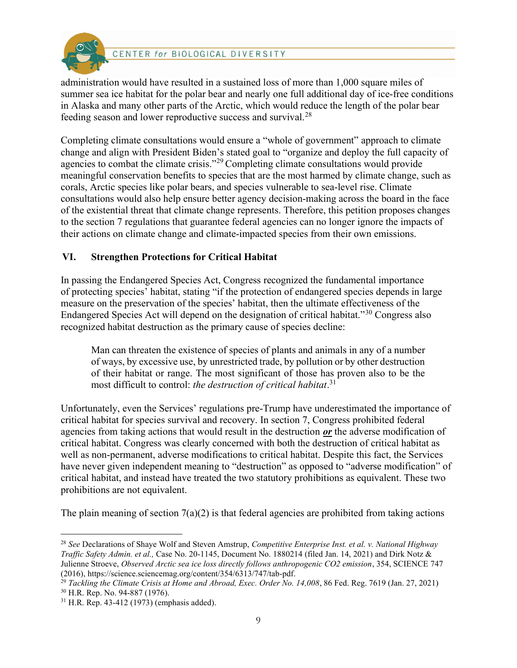

administration would have resulted in a sustained loss of more than 1,000 square miles of summer sea ice habitat for the polar bear and nearly one full additional day of ice-free conditions in Alaska and many other parts of the Arctic, which would reduce the length of the polar bear feeding season and lower reproductive success and survival.<sup>28</sup>

Completing climate consultations would ensure a "whole of government" approach to climate change and align with President Biden's stated goal to "organize and deploy the full capacity of agencies to combat the climate crisis."<sup>29</sup> Completing climate consultations would provide meaningful conservation benefits to species that are the most harmed by climate change, such as corals, Arctic species like polar bears, and species vulnerable to sea-level rise. Climate consultations would also help ensure better agency decision-making across the board in the face of the existential threat that climate change represents. Therefore, this petition proposes changes to the section 7 regulations that guarantee federal agencies can no longer ignore the impacts of their actions on climate change and climate-impacted species from their own emissions.

## VI. Strengthen Protections for Critical Habitat

In passing the Endangered Species Act, Congress recognized the fundamental importance of protecting species' habitat, stating "if the protection of endangered species depends in large measure on the preservation of the species' habitat, then the ultimate effectiveness of the Endangered Species Act will depend on the designation of critical habitat."<sup>30</sup> Congress also recognized habitat destruction as the primary cause of species decline:

Man can threaten the existence of species of plants and animals in any of a number of ways, by excessive use, by unrestricted trade, by pollution or by other destruction of their habitat or range. The most significant of those has proven also to be the most difficult to control: the destruction of critical habitat.<sup>31</sup>

Unfortunately, even the Services' regulations pre-Trump have underestimated the importance of critical habitat for species survival and recovery. In section 7, Congress prohibited federal agencies from taking actions that would result in the destruction  $\boldsymbol{or}$  the adverse modification of critical habitat. Congress was clearly concerned with both the destruction of critical habitat as well as non-permanent, adverse modifications to critical habitat. Despite this fact, the Services have never given independent meaning to "destruction" as opposed to "adverse modification" of critical habitat, and instead have treated the two statutory prohibitions as equivalent. These two prohibitions are not equivalent.

The plain meaning of section  $7(a)(2)$  is that federal agencies are prohibited from taking actions

<sup>&</sup>lt;sup>28</sup> See Declarations of Shaye Wolf and Steven Amstrup, Competitive Enterprise Inst. et al. v. National Highway Traffic Safety Admin. et al., Case No. 20-1145, Document No. 1880214 (filed Jan. 14, 2021) and Dirk Notz & Julienne Stroeve, Observed Arctic sea ice loss directly follows anthropogenic CO2 emission, 354, SCIENCE 747 (2016), https://science.sciencemag.org/content/354/6313/747/tab-pdf.

 $^{29}$  Tackling the Climate Crisis at Home and Abroad, Exec. Order No. 14,008, 86 Fed. Reg. 7619 (Jan. 27, 2021) <sup>30</sup> H.R. Rep. No. 94-887 (1976).

<sup>31</sup> H.R. Rep. 43-412 (1973) (emphasis added).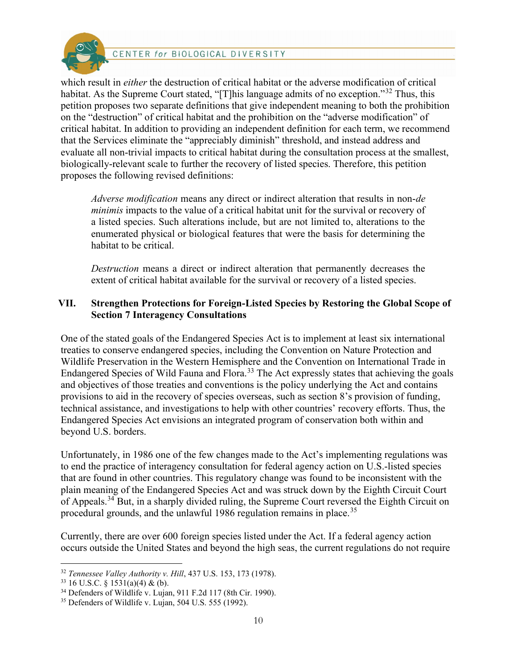

which result in *either* the destruction of critical habitat or the adverse modification of critical habitat. As the Supreme Court stated, "[T]his language admits of no exception."<sup>32</sup> Thus, this petition proposes two separate definitions that give independent meaning to both the prohibition on the "destruction" of critical habitat and the prohibition on the "adverse modification" of critical habitat. In addition to providing an independent definition for each term, we recommend that the Services eliminate the "appreciably diminish" threshold, and instead address and evaluate all non-trivial impacts to critical habitat during the consultation process at the smallest, biologically-relevant scale to further the recovery of listed species. Therefore, this petition proposes the following revised definitions:

Adverse modification means any direct or indirect alteration that results in non-de minimis impacts to the value of a critical habitat unit for the survival or recovery of a listed species. Such alterations include, but are not limited to, alterations to the enumerated physical or biological features that were the basis for determining the habitat to be critical.

Destruction means a direct or indirect alteration that permanently decreases the extent of critical habitat available for the survival or recovery of a listed species.

#### VII. Strengthen Protections for Foreign-Listed Species by Restoring the Global Scope of Section 7 Interagency Consultations

One of the stated goals of the Endangered Species Act is to implement at least six international treaties to conserve endangered species, including the Convention on Nature Protection and Wildlife Preservation in the Western Hemisphere and the Convention on International Trade in Endangered Species of Wild Fauna and Flora.<sup>33</sup> The Act expressly states that achieving the goals and objectives of those treaties and conventions is the policy underlying the Act and contains provisions to aid in the recovery of species overseas, such as section 8's provision of funding, technical assistance, and investigations to help with other countries' recovery efforts. Thus, the Endangered Species Act envisions an integrated program of conservation both within and beyond U.S. borders.

Unfortunately, in 1986 one of the few changes made to the Act's implementing regulations was to end the practice of interagency consultation for federal agency action on U.S.-listed species that are found in other countries. This regulatory change was found to be inconsistent with the plain meaning of the Endangered Species Act and was struck down by the Eighth Circuit Court of Appeals.<sup>34</sup> But, in a sharply divided ruling, the Supreme Court reversed the Eighth Circuit on procedural grounds, and the unlawful 1986 regulation remains in place.<sup>35</sup>

Currently, there are over 600 foreign species listed under the Act. If a federal agency action occurs outside the United States and beyond the high seas, the current regulations do not require

 $32$  Tennessee Valley Authority v. Hill, 437 U.S. 153, 173 (1978).

 $33$  16 U.S.C.  $\frac{1531(a)(4) \& (b)}{b}$ .

<sup>34</sup> Defenders of Wildlife v. Lujan, 911 F.2d 117 (8th Cir. 1990).

<sup>35</sup> Defenders of Wildlife v. Lujan, 504 U.S. 555 (1992).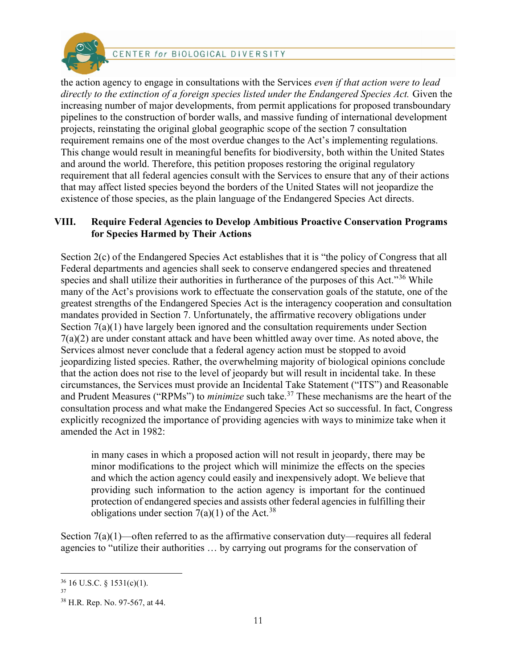

the action agency to engage in consultations with the Services *even if that action were to lead* directly to the extinction of a foreign species listed under the Endangered Species Act. Given the increasing number of major developments, from permit applications for proposed transboundary pipelines to the construction of border walls, and massive funding of international development projects, reinstating the original global geographic scope of the section 7 consultation requirement remains one of the most overdue changes to the Act's implementing regulations. This change would result in meaningful benefits for biodiversity, both within the United States and around the world. Therefore, this petition proposes restoring the original regulatory requirement that all federal agencies consult with the Services to ensure that any of their actions that may affect listed species beyond the borders of the United States will not jeopardize the existence of those species, as the plain language of the Endangered Species Act directs.

#### VIII. Require Federal Agencies to Develop Ambitious Proactive Conservation Programs for Species Harmed by Their Actions

Section 2(c) of the Endangered Species Act establishes that it is "the policy of Congress that all Federal departments and agencies shall seek to conserve endangered species and threatened species and shall utilize their authorities in furtherance of the purposes of this Act."<sup>36</sup> While many of the Act's provisions work to effectuate the conservation goals of the statute, one of the greatest strengths of the Endangered Species Act is the interagency cooperation and consultation mandates provided in Section 7. Unfortunately, the affirmative recovery obligations under Section 7(a)(1) have largely been ignored and the consultation requirements under Section 7(a)(2) are under constant attack and have been whittled away over time. As noted above, the Services almost never conclude that a federal agency action must be stopped to avoid jeopardizing listed species. Rather, the overwhelming majority of biological opinions conclude that the action does not rise to the level of jeopardy but will result in incidental take. In these circumstances, the Services must provide an Incidental Take Statement ("ITS") and Reasonable and Prudent Measures ("RPMs") to *minimize* such take.<sup>37</sup> These mechanisms are the heart of the consultation process and what make the Endangered Species Act so successful. In fact, Congress explicitly recognized the importance of providing agencies with ways to minimize take when it amended the Act in 1982:

in many cases in which a proposed action will not result in jeopardy, there may be minor modifications to the project which will minimize the effects on the species and which the action agency could easily and inexpensively adopt. We believe that providing such information to the action agency is important for the continued protection of endangered species and assists other federal agencies in fulfilling their obligations under section  $7(a)(1)$  of the Act.<sup>38</sup>

Section  $7(a)(1)$ —often referred to as the affirmative conservation duty—requires all federal agencies to "utilize their authorities … by carrying out programs for the conservation of

 $36$  16 U.S.C. § 1531(c)(1).

<sup>37</sup>

<sup>38</sup> H.R. Rep. No. 97-567, at 44.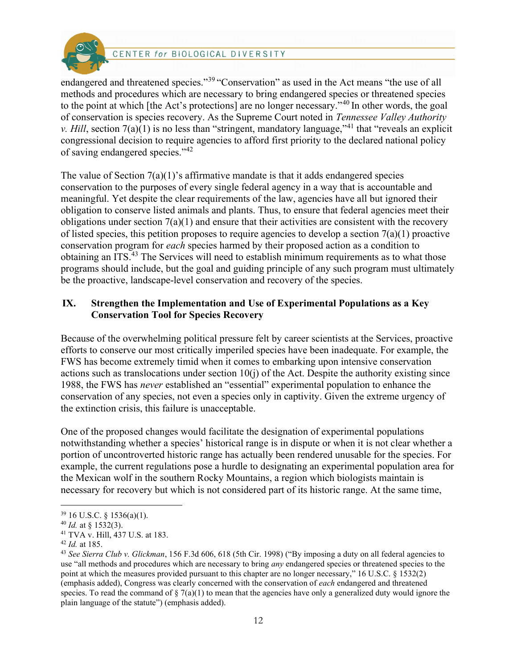

endangered and threatened species."<sup>39</sup> "Conservation" as used in the Act means "the use of all methods and procedures which are necessary to bring endangered species or threatened species to the point at which [the Act's protections] are no longer necessary."<sup>40</sup> In other words, the goal of conservation is species recovery. As the Supreme Court noted in Tennessee Valley Authority v. Hill, section  $7(a)(1)$  is no less than "stringent, mandatory language,"<sup>41</sup> that "reveals an explicit" congressional decision to require agencies to afford first priority to the declared national policy of saving endangered species."<sup>42</sup>

The value of Section  $7(a)(1)$ 's affirmative mandate is that it adds endangered species conservation to the purposes of every single federal agency in a way that is accountable and meaningful. Yet despite the clear requirements of the law, agencies have all but ignored their obligation to conserve listed animals and plants. Thus, to ensure that federal agencies meet their obligations under section  $7(a)(1)$  and ensure that their activities are consistent with the recovery of listed species, this petition proposes to require agencies to develop a section  $7(a)(1)$  proactive conservation program for each species harmed by their proposed action as a condition to obtaining an ITS.<sup>43</sup> The Services will need to establish minimum requirements as to what those programs should include, but the goal and guiding principle of any such program must ultimately be the proactive, landscape-level conservation and recovery of the species.

## IX. Strengthen the Implementation and Use of Experimental Populations as a Key Conservation Tool for Species Recovery

Because of the overwhelming political pressure felt by career scientists at the Services, proactive efforts to conserve our most critically imperiled species have been inadequate. For example, the FWS has become extremely timid when it comes to embarking upon intensive conservation actions such as translocations under section 10(j) of the Act. Despite the authority existing since 1988, the FWS has never established an "essential" experimental population to enhance the conservation of any species, not even a species only in captivity. Given the extreme urgency of the extinction crisis, this failure is unacceptable.

One of the proposed changes would facilitate the designation of experimental populations notwithstanding whether a species' historical range is in dispute or when it is not clear whether a portion of uncontroverted historic range has actually been rendered unusable for the species. For example, the current regulations pose a hurdle to designating an experimental population area for the Mexican wolf in the southern Rocky Mountains, a region which biologists maintain is necessary for recovery but which is not considered part of its historic range. At the same time,

<sup>39</sup> 16 U.S.C. § 1536(a)(1).

 $40$  *Id.* at § 1532(3).

<sup>41</sup> TVA v. Hill, 437 U.S. at 183.

 $42$  *Id.* at 185.

<sup>&</sup>lt;sup>43</sup> See Sierra Club v. Glickman, 156 F.3d 606, 618 (5th Cir. 1998) ("By imposing a duty on all federal agencies to use "all methods and procedures which are necessary to bring *any* endangered species or threatened species to the point at which the measures provided pursuant to this chapter are no longer necessary," 16 U.S.C. § 1532(2) (emphasis added), Congress was clearly concerned with the conservation of each endangered and threatened species. To read the command of  $\S$  7(a)(1) to mean that the agencies have only a generalized duty would ignore the plain language of the statute") (emphasis added).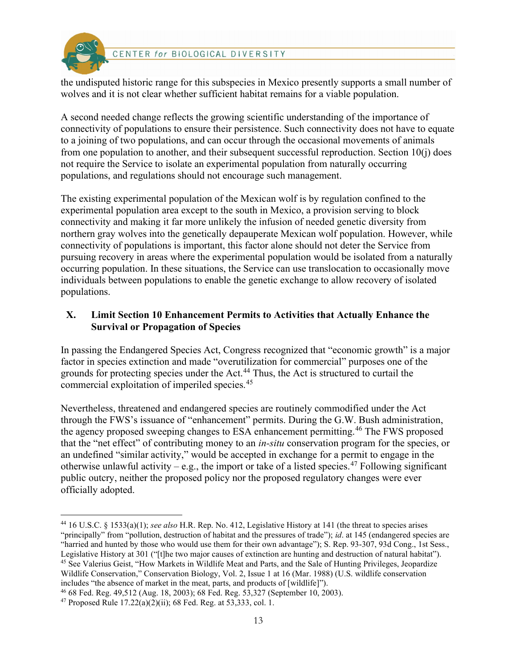

the undisputed historic range for this subspecies in Mexico presently supports a small number of wolves and it is not clear whether sufficient habitat remains for a viable population.

A second needed change reflects the growing scientific understanding of the importance of connectivity of populations to ensure their persistence. Such connectivity does not have to equate to a joining of two populations, and can occur through the occasional movements of animals from one population to another, and their subsequent successful reproduction. Section 10(j) does not require the Service to isolate an experimental population from naturally occurring populations, and regulations should not encourage such management.

The existing experimental population of the Mexican wolf is by regulation confined to the experimental population area except to the south in Mexico, a provision serving to block connectivity and making it far more unlikely the infusion of needed genetic diversity from northern gray wolves into the genetically depauperate Mexican wolf population. However, while connectivity of populations is important, this factor alone should not deter the Service from pursuing recovery in areas where the experimental population would be isolated from a naturally occurring population. In these situations, the Service can use translocation to occasionally move individuals between populations to enable the genetic exchange to allow recovery of isolated populations.

## X. Limit Section 10 Enhancement Permits to Activities that Actually Enhance the Survival or Propagation of Species

In passing the Endangered Species Act, Congress recognized that "economic growth" is a major factor in species extinction and made "overutilization for commercial" purposes one of the grounds for protecting species under the Act.<sup>44</sup> Thus, the Act is structured to curtail the commercial exploitation of imperiled species.<sup>45</sup>

Nevertheless, threatened and endangered species are routinely commodified under the Act through the FWS's issuance of "enhancement" permits. During the G.W. Bush administration, the agency proposed sweeping changes to ESA enhancement permitting.<sup>46</sup> The FWS proposed that the "net effect" of contributing money to an in-situ conservation program for the species, or an undefined "similar activity," would be accepted in exchange for a permit to engage in the otherwise unlawful activity – e.g., the import or take of a listed species.<sup>47</sup> Following significant public outcry, neither the proposed policy nor the proposed regulatory changes were ever officially adopted.

<sup>&</sup>lt;sup>44</sup> 16 U.S.C. § 1533(a)(1); see also H.R. Rep. No. 412, Legislative History at 141 (the threat to species arises "principally" from "pollution, destruction of habitat and the pressures of trade"); id. at 145 (endangered species are "harried and hunted by those who would use them for their own advantage"); S. Rep. 93-307, 93d Cong., 1st Sess., Legislative History at 301 ("[t]he two major causes of extinction are hunting and destruction of natural habitat"). <sup>45</sup> See Valerius Geist, "How Markets in Wildlife Meat and Parts, and the Sale of Hunting Privileges, Jeopardize Wildlife Conservation," Conservation Biology, Vol. 2, Issue 1 at 16 (Mar. 1988) (U.S. wildlife conservation

includes "the absence of market in the meat, parts, and products of [wildlife]").

<sup>46</sup> 68 Fed. Reg. 49,512 (Aug. 18, 2003); 68 Fed. Reg. 53,327 (September 10, 2003).

<sup>47</sup> Proposed Rule 17.22(a)(2)(ii); 68 Fed. Reg. at 53,333, col. 1.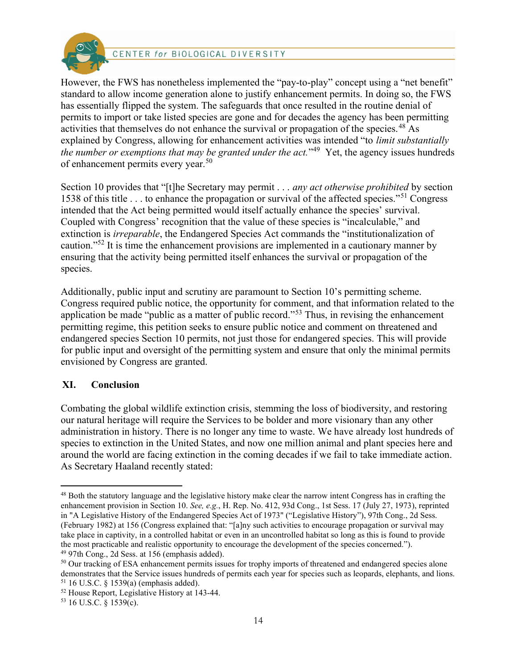

However, the FWS has nonetheless implemented the "pay-to-play" concept using a "net benefit" standard to allow income generation alone to justify enhancement permits. In doing so, the FWS has essentially flipped the system. The safeguards that once resulted in the routine denial of permits to import or take listed species are gone and for decades the agency has been permitting activities that themselves do not enhance the survival or propagation of the species.<sup>48</sup> As explained by Congress, allowing for enhancement activities was intended "to limit substantially the number or exemptions that may be granted under the act."<sup>49</sup> Yet, the agency issues hundreds of enhancement permits every year.<sup>50</sup>

Section 10 provides that "[t]he Secretary may permit . . . *any act otherwise prohibited* by section 1538 of this title  $\dots$  to enhance the propagation or survival of the affected species."<sup>51</sup> Congress intended that the Act being permitted would itself actually enhance the species' survival. Coupled with Congress' recognition that the value of these species is "incalculable," and extinction is irreparable, the Endangered Species Act commands the "institutionalization of caution."<sup>52</sup> It is time the enhancement provisions are implemented in a cautionary manner by ensuring that the activity being permitted itself enhances the survival or propagation of the species.

Additionally, public input and scrutiny are paramount to Section 10's permitting scheme. Congress required public notice, the opportunity for comment, and that information related to the application be made "public as a matter of public record."<sup>53</sup> Thus, in revising the enhancement permitting regime, this petition seeks to ensure public notice and comment on threatened and endangered species Section 10 permits, not just those for endangered species. This will provide for public input and oversight of the permitting system and ensure that only the minimal permits envisioned by Congress are granted.

## XI. Conclusion

Combating the global wildlife extinction crisis, stemming the loss of biodiversity, and restoring our natural heritage will require the Services to be bolder and more visionary than any other administration in history. There is no longer any time to waste. We have already lost hundreds of species to extinction in the United States, and now one million animal and plant species here and around the world are facing extinction in the coming decades if we fail to take immediate action. As Secretary Haaland recently stated:

<sup>48</sup> Both the statutory language and the legislative history make clear the narrow intent Congress has in crafting the enhancement provision in Section 10. See, e.g., H. Rep. No. 412, 93d Cong., 1st Sess. 17 (July 27, 1973), reprinted in "A Legislative History of the Endangered Species Act of 1973" ("Legislative History"), 97th Cong., 2d Sess. (February 1982) at 156 (Congress explained that: "[a]ny such activities to encourage propagation or survival may take place in captivity, in a controlled habitat or even in an uncontrolled habitat so long as this is found to provide the most practicable and realistic opportunity to encourage the development of the species concerned."). <sup>49</sup> 97th Cong., 2d Sess. at 156 (emphasis added).

<sup>&</sup>lt;sup>50</sup> Our tracking of ESA enhancement permits issues for trophy imports of threatened and endangered species alone demonstrates that the Service issues hundreds of permits each year for species such as leopards, elephants, and lions. <sup>51</sup> 16 U.S.C. § 1539(a) (emphasis added).

<sup>52</sup> House Report, Legislative History at 143-44.

<sup>53</sup> 16 U.S.C. § 1539(c).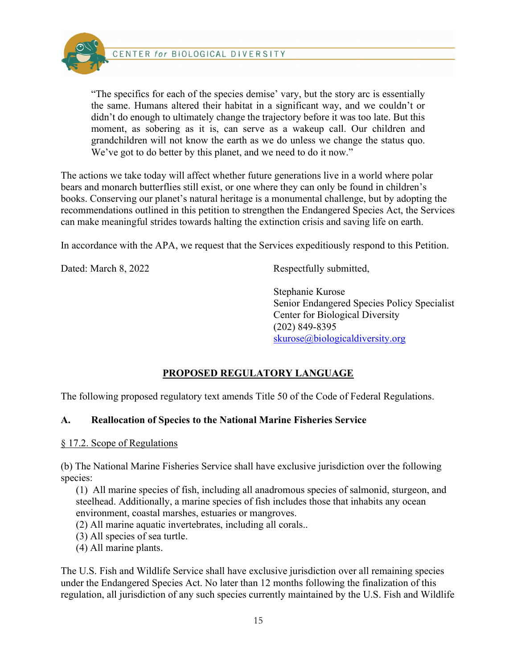"The specifics for each of the species demise' vary, but the story arc is essentially the same. Humans altered their habitat in a significant way, and we couldn't or didn't do enough to ultimately change the trajectory before it was too late. But this moment, as sobering as it is, can serve as a wakeup call. Our children and grandchildren will not know the earth as we do unless we change the status quo. We've got to do better by this planet, and we need to do it now."

The actions we take today will affect whether future generations live in a world where polar bears and monarch butterflies still exist, or one where they can only be found in children's books. Conserving our planet's natural heritage is a monumental challenge, but by adopting the recommendations outlined in this petition to strengthen the Endangered Species Act, the Services can make meaningful strides towards halting the extinction crisis and saving life on earth.

In accordance with the APA, we request that the Services expeditiously respond to this Petition.

Dated: March 8, 2022 Respectfully submitted,

 Stephanie Kurose Senior Endangered Species Policy Specialist Center for Biological Diversity (202) 849-8395 skurose@biologicaldiversity.org

# PROPOSED REGULATORY LANGUAGE

The following proposed regulatory text amends Title 50 of the Code of Federal Regulations.

# A. Reallocation of Species to the National Marine Fisheries Service

## § 17.2. Scope of Regulations

(b) The National Marine Fisheries Service shall have exclusive jurisdiction over the following species:

(1) All marine species of fish, including all anadromous species of salmonid, sturgeon, and steelhead. Additionally, a marine species of fish includes those that inhabits any ocean environment, coastal marshes, estuaries or mangroves.

(2) All marine aquatic invertebrates, including all corals..

- (3) All species of sea turtle.
- (4) All marine plants.

The U.S. Fish and Wildlife Service shall have exclusive jurisdiction over all remaining species under the Endangered Species Act. No later than 12 months following the finalization of this regulation, all jurisdiction of any such species currently maintained by the U.S. Fish and Wildlife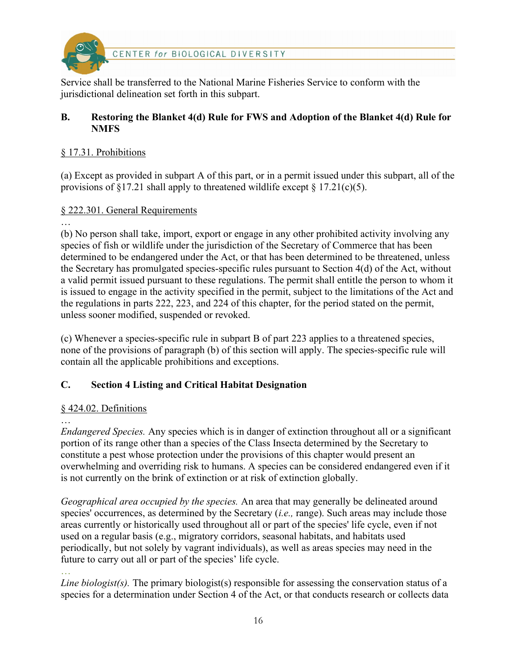

Service shall be transferred to the National Marine Fisheries Service to conform with the jurisdictional delineation set forth in this subpart.

## B. Restoring the Blanket 4(d) Rule for FWS and Adoption of the Blanket 4(d) Rule for NMFS

## § 17.31. Prohibitions

(a) Except as provided in subpart A of this part, or in a permit issued under this subpart, all of the provisions of §17.21 shall apply to threatened wildlife except § 17.21(c)(5).

## § 222.301. General Requirements

…

(b) No person shall take, import, export or engage in any other prohibited activity involving any species of fish or wildlife under the jurisdiction of the Secretary of Commerce that has been determined to be endangered under the Act, or that has been determined to be threatened, unless the Secretary has promulgated species-specific rules pursuant to Section 4(d) of the Act, without a valid permit issued pursuant to these regulations. The permit shall entitle the person to whom it is issued to engage in the activity specified in the permit, subject to the limitations of the Act and the regulations in parts 222, 223, and 224 of this chapter, for the period stated on the permit, unless sooner modified, suspended or revoked.

(c) Whenever a species-specific rule in subpart B of part 223 applies to a threatened species, none of the provisions of paragraph (b) of this section will apply. The species-specific rule will contain all the applicable prohibitions and exceptions.

# C. Section 4 Listing and Critical Habitat Designation

# § 424.02. Definitions

…

Endangered Species. Any species which is in danger of extinction throughout all or a significant portion of its range other than a species of the Class Insecta determined by the Secretary to constitute a pest whose protection under the provisions of this chapter would present an overwhelming and overriding risk to humans. A species can be considered endangered even if it is not currently on the brink of extinction or at risk of extinction globally.

Geographical area occupied by the species. An area that may generally be delineated around species' occurrences, as determined by the Secretary (*i.e.*, range). Such areas may include those areas currently or historically used throughout all or part of the species' life cycle, even if not used on a regular basis (e.g., migratory corridors, seasonal habitats, and habitats used periodically, but not solely by vagrant individuals), as well as areas species may need in the future to carry out all or part of the species' life cycle.

…

Line biologist(s). The primary biologist(s) responsible for assessing the conservation status of a species for a determination under Section 4 of the Act, or that conducts research or collects data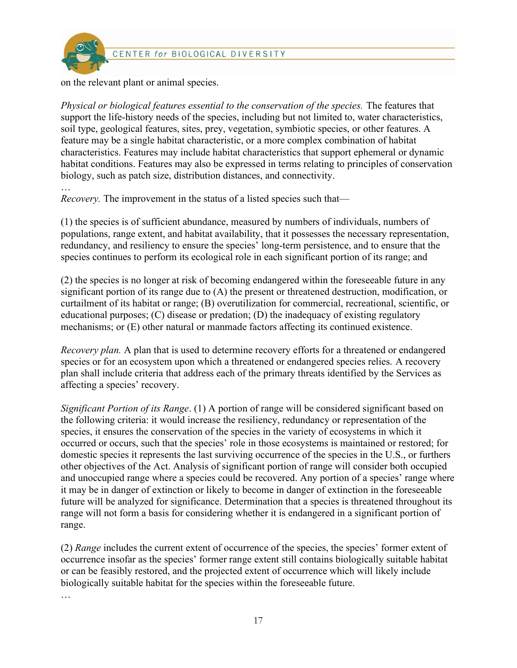on the relevant plant or animal species.

Physical or biological features essential to the conservation of the species. The features that support the life-history needs of the species, including but not limited to, water characteristics, soil type, geological features, sites, prey, vegetation, symbiotic species, or other features. A feature may be a single habitat characteristic, or a more complex combination of habitat characteristics. Features may include habitat characteristics that support ephemeral or dynamic habitat conditions. Features may also be expressed in terms relating to principles of conservation biology, such as patch size, distribution distances, and connectivity.

…

Recovery. The improvement in the status of a listed species such that—

(1) the species is of sufficient abundance, measured by numbers of individuals, numbers of populations, range extent, and habitat availability, that it possesses the necessary representation, redundancy, and resiliency to ensure the species' long-term persistence, and to ensure that the species continues to perform its ecological role in each significant portion of its range; and

(2) the species is no longer at risk of becoming endangered within the foreseeable future in any significant portion of its range due to (A) the present or threatened destruction, modification, or curtailment of its habitat or range; (B) overutilization for commercial, recreational, scientific, or educational purposes; (C) disease or predation; (D) the inadequacy of existing regulatory mechanisms; or (E) other natural or manmade factors affecting its continued existence.

Recovery plan. A plan that is used to determine recovery efforts for a threatened or endangered species or for an ecosystem upon which a threatened or endangered species relies. A recovery plan shall include criteria that address each of the primary threats identified by the Services as affecting a species' recovery.

Significant Portion of its Range. (1) A portion of range will be considered significant based on the following criteria: it would increase the resiliency, redundancy or representation of the species, it ensures the conservation of the species in the variety of ecosystems in which it occurred or occurs, such that the species' role in those ecosystems is maintained or restored; for domestic species it represents the last surviving occurrence of the species in the U.S., or furthers other objectives of the Act. Analysis of significant portion of range will consider both occupied and unoccupied range where a species could be recovered. Any portion of a species' range where it may be in danger of extinction or likely to become in danger of extinction in the foreseeable future will be analyzed for significance. Determination that a species is threatened throughout its range will not form a basis for considering whether it is endangered in a significant portion of range.

(2) Range includes the current extent of occurrence of the species, the species' former extent of occurrence insofar as the species' former range extent still contains biologically suitable habitat or can be feasibly restored, and the projected extent of occurrence which will likely include biologically suitable habitat for the species within the foreseeable future.

…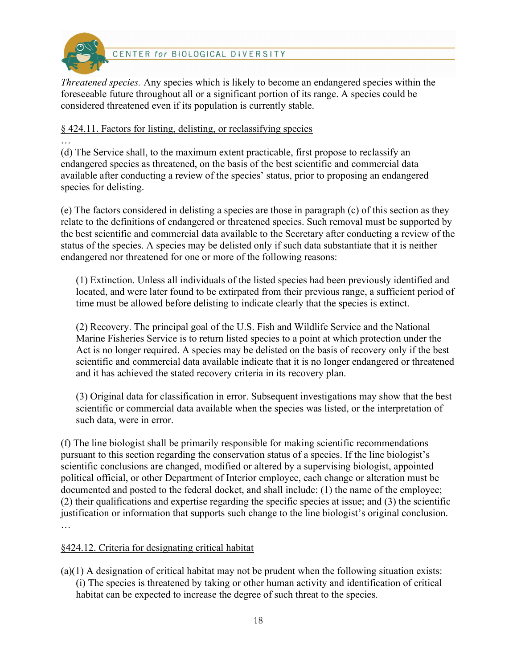

Threatened species. Any species which is likely to become an endangered species within the foreseeable future throughout all or a significant portion of its range. A species could be considered threatened even if its population is currently stable.

## § 424.11. Factors for listing, delisting, or reclassifying species

…

(d) The Service shall, to the maximum extent practicable, first propose to reclassify an endangered species as threatened, on the basis of the best scientific and commercial data available after conducting a review of the species' status, prior to proposing an endangered species for delisting.

(e) The factors considered in delisting a species are those in paragraph (c) of this section as they relate to the definitions of endangered or threatened species. Such removal must be supported by the best scientific and commercial data available to the Secretary after conducting a review of the status of the species. A species may be delisted only if such data substantiate that it is neither endangered nor threatened for one or more of the following reasons:

(1) Extinction. Unless all individuals of the listed species had been previously identified and located, and were later found to be extirpated from their previous range, a sufficient period of time must be allowed before delisting to indicate clearly that the species is extinct.

(2) Recovery. The principal goal of the U.S. Fish and Wildlife Service and the National Marine Fisheries Service is to return listed species to a point at which protection under the Act is no longer required. A species may be delisted on the basis of recovery only if the best scientific and commercial data available indicate that it is no longer endangered or threatened and it has achieved the stated recovery criteria in its recovery plan.

(3) Original data for classification in error. Subsequent investigations may show that the best scientific or commercial data available when the species was listed, or the interpretation of such data, were in error.

(f) The line biologist shall be primarily responsible for making scientific recommendations pursuant to this section regarding the conservation status of a species. If the line biologist's scientific conclusions are changed, modified or altered by a supervising biologist, appointed political official, or other Department of Interior employee, each change or alteration must be documented and posted to the federal docket, and shall include: (1) the name of the employee; (2) their qualifications and expertise regarding the specific species at issue; and (3) the scientific justification or information that supports such change to the line biologist's original conclusion. …

## §424.12. Criteria for designating critical habitat

 $(a)(1)$  A designation of critical habitat may not be prudent when the following situation exists: (i) The species is threatened by taking or other human activity and identification of critical habitat can be expected to increase the degree of such threat to the species.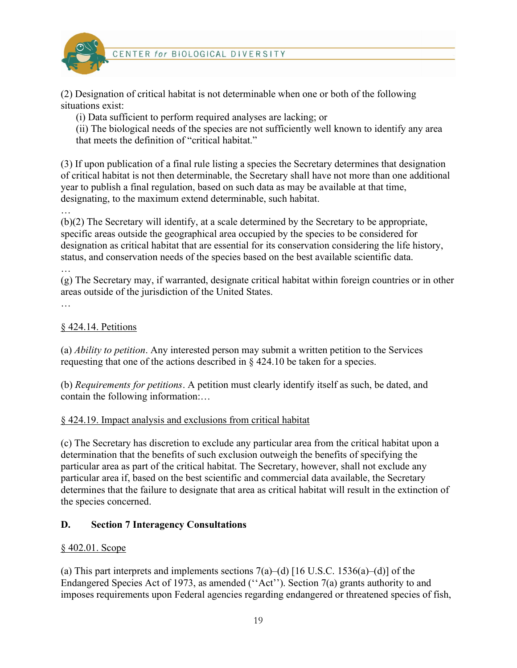

(2) Designation of critical habitat is not determinable when one or both of the following situations exist:

(i) Data sufficient to perform required analyses are lacking; or

(ii) The biological needs of the species are not sufficiently well known to identify any area that meets the definition of "critical habitat."

(3) If upon publication of a final rule listing a species the Secretary determines that designation of critical habitat is not then determinable, the Secretary shall have not more than one additional year to publish a final regulation, based on such data as may be available at that time, designating, to the maximum extend determinable, such habitat.

…

(b)(2) The Secretary will identify, at a scale determined by the Secretary to be appropriate, specific areas outside the geographical area occupied by the species to be considered for designation as critical habitat that are essential for its conservation considering the life history, status, and conservation needs of the species based on the best available scientific data.

(g) The Secretary may, if warranted, designate critical habitat within foreign countries or in other areas outside of the jurisdiction of the United States.

…

…

## § 424.14. Petitions

(a) Ability to petition. Any interested person may submit a written petition to the Services requesting that one of the actions described in § 424.10 be taken for a species.

(b) Requirements for petitions. A petition must clearly identify itself as such, be dated, and contain the following information:…

## § 424.19. Impact analysis and exclusions from critical habitat

(c) The Secretary has discretion to exclude any particular area from the critical habitat upon a determination that the benefits of such exclusion outweigh the benefits of specifying the particular area as part of the critical habitat. The Secretary, however, shall not exclude any particular area if, based on the best scientific and commercial data available, the Secretary determines that the failure to designate that area as critical habitat will result in the extinction of the species concerned.

# D. Section 7 Interagency Consultations

## § 402.01. Scope

(a) This part interprets and implements sections  $7(a)$ –(d) [16 U.S.C. 1536(a)–(d)] of the Endangered Species Act of 1973, as amended ("Act"). Section 7(a) grants authority to and imposes requirements upon Federal agencies regarding endangered or threatened species of fish,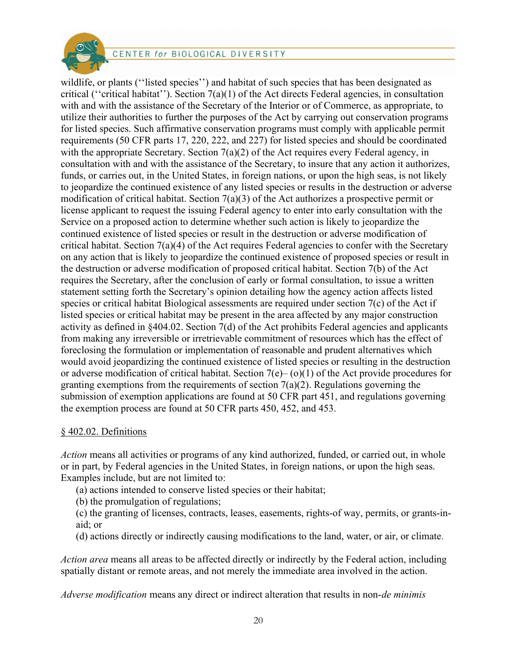

wildlife, or plants (''listed species'') and habitat of such species that has been designated as critical (''critical habitat''). Section 7(a)(1) of the Act directs Federal agencies, in consultation with and with the assistance of the Secretary of the Interior or of Commerce, as appropriate, to utilize their authorities to further the purposes of the Act by carrying out conservation programs for listed species. Such affirmative conservation programs must comply with applicable permit requirements (50 CFR parts 17, 220, 222, and 227) for listed species and should be coordinated with the appropriate Secretary. Section 7(a)(2) of the Act requires every Federal agency, in consultation with and with the assistance of the Secretary, to insure that any action it authorizes, funds, or carries out, in the United States, in foreign nations, or upon the high seas, is not likely to jeopardize the continued existence of any listed species or results in the destruction or adverse modification of critical habitat. Section  $7(a)(3)$  of the Act authorizes a prospective permit or license applicant to request the issuing Federal agency to enter into early consultation with the Service on a proposed action to determine whether such action is likely to jeopardize the continued existence of listed species or result in the destruction or adverse modification of critical habitat. Section  $7(a)(4)$  of the Act requires Federal agencies to confer with the Secretary on any action that is likely to jeopardize the continued existence of proposed species or result in the destruction or adverse modification of proposed critical habitat. Section 7(b) of the Act requires the Secretary, after the conclusion of early or formal consultation, to issue a written statement setting forth the Secretary's opinion detailing how the agency action affects listed species or critical habitat Biological assessments are required under section 7(c) of the Act if listed species or critical habitat may be present in the area affected by any major construction activity as defined in §404.02. Section 7(d) of the Act prohibits Federal agencies and applicants from making any irreversible or irretrievable commitment of resources which has the effect of foreclosing the formulation or implementation of reasonable and prudent alternatives which would avoid jeopardizing the continued existence of listed species or resulting in the destruction or adverse modification of critical habitat. Section  $7(e)$ – $(o)(1)$  of the Act provide procedures for granting exemptions from the requirements of section  $7(a)(2)$ . Regulations governing the submission of exemption applications are found at 50 CFR part 451, and regulations governing the exemption process are found at 50 CFR parts 450, 452, and 453.

#### § 402.02. Definitions

Action means all activities or programs of any kind authorized, funded, or carried out, in whole or in part, by Federal agencies in the United States, in foreign nations, or upon the high seas. Examples include, but are not limited to:

- (a) actions intended to conserve listed species or their habitat;
- (b) the promulgation of regulations;
- (c) the granting of licenses, contracts, leases, easements, rights-of way, permits, or grants-inaid; or
- (d) actions directly or indirectly causing modifications to the land, water, or air, or climate.

Action area means all areas to be affected directly or indirectly by the Federal action, including spatially distant or remote areas, and not merely the immediate area involved in the action.

Adverse modification means any direct or indirect alteration that results in non-de minimis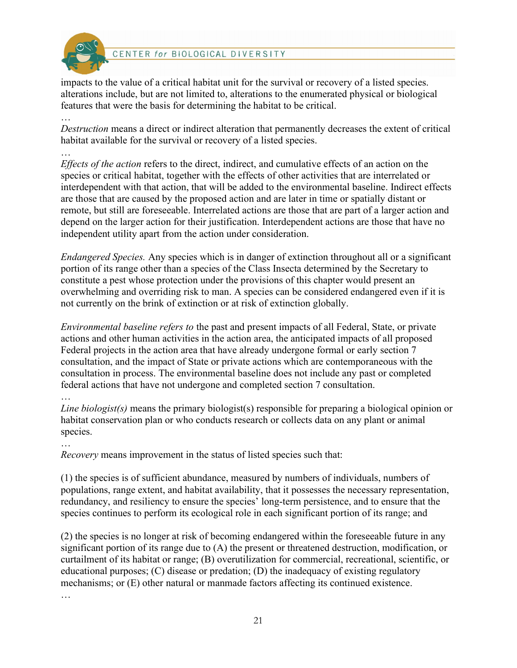

impacts to the value of a critical habitat unit for the survival or recovery of a listed species. alterations include, but are not limited to, alterations to the enumerated physical or biological features that were the basis for determining the habitat to be critical.

#### …

Destruction means a direct or indirect alteration that permanently decreases the extent of critical habitat available for the survival or recovery of a listed species.

… Effects of the action refers to the direct, indirect, and cumulative effects of an action on the species or critical habitat, together with the effects of other activities that are interrelated or interdependent with that action, that will be added to the environmental baseline. Indirect effects are those that are caused by the proposed action and are later in time or spatially distant or remote, but still are foreseeable. Interrelated actions are those that are part of a larger action and depend on the larger action for their justification. Interdependent actions are those that have no independent utility apart from the action under consideration.

Endangered Species. Any species which is in danger of extinction throughout all or a significant portion of its range other than a species of the Class Insecta determined by the Secretary to constitute a pest whose protection under the provisions of this chapter would present an overwhelming and overriding risk to man. A species can be considered endangered even if it is not currently on the brink of extinction or at risk of extinction globally.

Environmental baseline refers to the past and present impacts of all Federal, State, or private actions and other human activities in the action area, the anticipated impacts of all proposed Federal projects in the action area that have already undergone formal or early section 7 consultation, and the impact of State or private actions which are contemporaneous with the consultation in process. The environmental baseline does not include any past or completed federal actions that have not undergone and completed section 7 consultation.

#### …

Line biologist(s) means the primary biologist(s) responsible for preparing a biological opinion or habitat conservation plan or who conducts research or collects data on any plant or animal species.

… Recovery means improvement in the status of listed species such that:

(1) the species is of sufficient abundance, measured by numbers of individuals, numbers of populations, range extent, and habitat availability, that it possesses the necessary representation, redundancy, and resiliency to ensure the species' long-term persistence, and to ensure that the species continues to perform its ecological role in each significant portion of its range; and

(2) the species is no longer at risk of becoming endangered within the foreseeable future in any significant portion of its range due to (A) the present or threatened destruction, modification, or curtailment of its habitat or range; (B) overutilization for commercial, recreational, scientific, or educational purposes; (C) disease or predation; (D) the inadequacy of existing regulatory mechanisms; or (E) other natural or manmade factors affecting its continued existence. …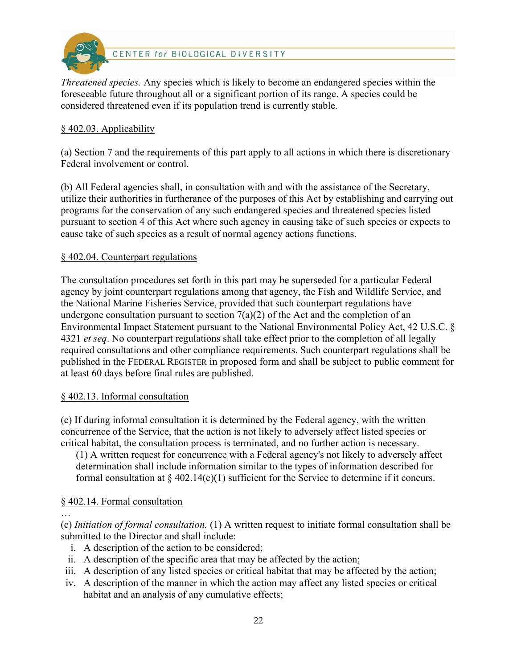

Threatened species. Any species which is likely to become an endangered species within the foreseeable future throughout all or a significant portion of its range. A species could be considered threatened even if its population trend is currently stable.

## § 402.03. Applicability

(a) Section 7 and the requirements of this part apply to all actions in which there is discretionary Federal involvement or control.

(b) All Federal agencies shall, in consultation with and with the assistance of the Secretary, utilize their authorities in furtherance of the purposes of this Act by establishing and carrying out programs for the conservation of any such endangered species and threatened species listed pursuant to section 4 of this Act where such agency in causing take of such species or expects to cause take of such species as a result of normal agency actions functions.

#### § 402.04. Counterpart regulations

The consultation procedures set forth in this part may be superseded for a particular Federal agency by joint counterpart regulations among that agency, the Fish and Wildlife Service, and the National Marine Fisheries Service, provided that such counterpart regulations have undergone consultation pursuant to section  $7(a)(2)$  of the Act and the completion of an Environmental Impact Statement pursuant to the National Environmental Policy Act, 42 U.S.C. § 4321 et seq. No counterpart regulations shall take effect prior to the completion of all legally required consultations and other compliance requirements. Such counterpart regulations shall be published in the FEDERAL REGISTER in proposed form and shall be subject to public comment for at least 60 days before final rules are published.

#### § 402.13. Informal consultation

(c) If during informal consultation it is determined by the Federal agency, with the written concurrence of the Service, that the action is not likely to adversely affect listed species or critical habitat, the consultation process is terminated, and no further action is necessary.

(1) A written request for concurrence with a Federal agency's not likely to adversely affect determination shall include information similar to the types of information described for formal consultation at  $\S 402.14(c)(1)$  sufficient for the Service to determine if it concurs.

## § 402.14. Formal consultation

…

(c) Initiation of formal consultation. (1) A written request to initiate formal consultation shall be submitted to the Director and shall include:

- i. A description of the action to be considered;
- ii. A description of the specific area that may be affected by the action;
- iii. A description of any listed species or critical habitat that may be affected by the action;
- iv. A description of the manner in which the action may affect any listed species or critical habitat and an analysis of any cumulative effects;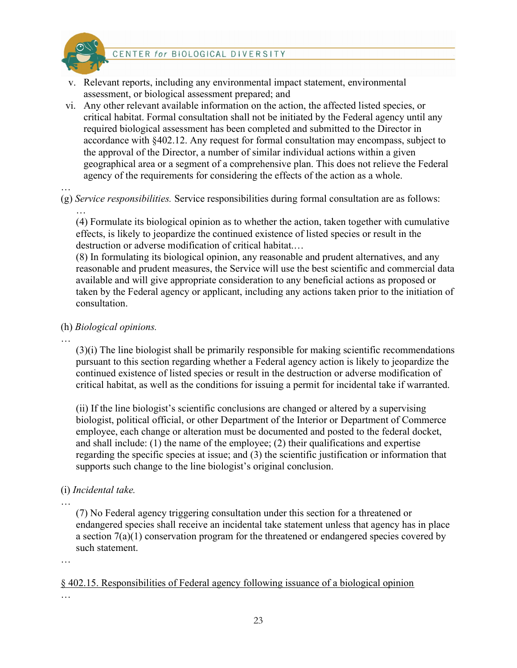

- v. Relevant reports, including any environmental impact statement, environmental assessment, or biological assessment prepared; and
- vi. Any other relevant available information on the action, the affected listed species, or critical habitat. Formal consultation shall not be initiated by the Federal agency until any required biological assessment has been completed and submitted to the Director in accordance with §402.12. Any request for formal consultation may encompass, subject to the approval of the Director, a number of similar individual actions within a given geographical area or a segment of a comprehensive plan. This does not relieve the Federal agency of the requirements for considering the effects of the action as a whole.

…

(g) Service responsibilities. Service responsibilities during formal consultation are as follows:

… (4) Formulate its biological opinion as to whether the action, taken together with cumulative effects, is likely to jeopardize the continued existence of listed species or result in the destruction or adverse modification of critical habitat.…

(8) In formulating its biological opinion, any reasonable and prudent alternatives, and any reasonable and prudent measures, the Service will use the best scientific and commercial data available and will give appropriate consideration to any beneficial actions as proposed or taken by the Federal agency or applicant, including any actions taken prior to the initiation of consultation.

(h) Biological opinions.

…

(3)(i) The line biologist shall be primarily responsible for making scientific recommendations pursuant to this section regarding whether a Federal agency action is likely to jeopardize the continued existence of listed species or result in the destruction or adverse modification of critical habitat, as well as the conditions for issuing a permit for incidental take if warranted.

(ii) If the line biologist's scientific conclusions are changed or altered by a supervising biologist, political official, or other Department of the Interior or Department of Commerce employee, each change or alteration must be documented and posted to the federal docket, and shall include: (1) the name of the employee; (2) their qualifications and expertise regarding the specific species at issue; and (3) the scientific justification or information that supports such change to the line biologist's original conclusion.

## (i) Incidental take.

…

(7) No Federal agency triggering consultation under this section for a threatened or endangered species shall receive an incidental take statement unless that agency has in place a section 7(a)(1) conservation program for the threatened or endangered species covered by such statement.

…

§ 402.15. Responsibilities of Federal agency following issuance of a biological opinion

…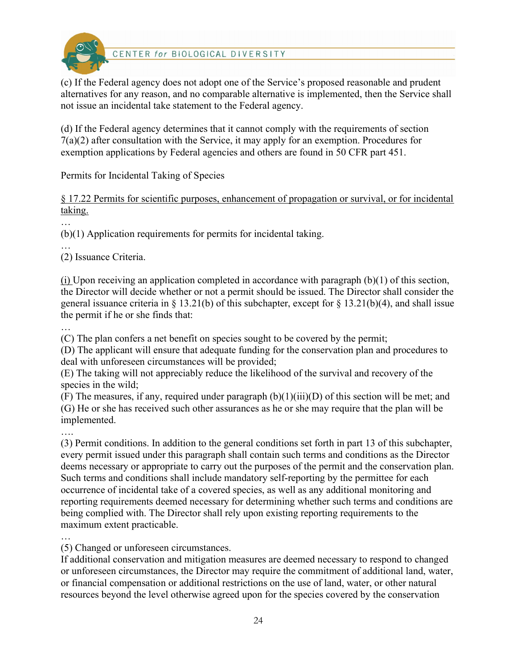

(c) If the Federal agency does not adopt one of the Service's proposed reasonable and prudent alternatives for any reason, and no comparable alternative is implemented, then the Service shall not issue an incidental take statement to the Federal agency.

(d) If the Federal agency determines that it cannot comply with the requirements of section 7(a)(2) after consultation with the Service, it may apply for an exemption. Procedures for exemption applications by Federal agencies and others are found in 50 CFR part 451.

Permits for Incidental Taking of Species

§ 17.22 Permits for scientific purposes, enhancement of propagation or survival, or for incidental taking.

…

(b)(1) Application requirements for permits for incidental taking.

… (2) Issuance Criteria.

(i) Upon receiving an application completed in accordance with paragraph (b)(1) of this section, the Director will decide whether or not a permit should be issued. The Director shall consider the general issuance criteria in § 13.21(b) of this subchapter, except for § 13.21(b)(4), and shall issue the permit if he or she finds that:

…

(C) The plan confers a net benefit on species sought to be covered by the permit;

(D) The applicant will ensure that adequate funding for the conservation plan and procedures to deal with unforeseen circumstances will be provided;

(E) The taking will not appreciably reduce the likelihood of the survival and recovery of the species in the wild;

(F) The measures, if any, required under paragraph  $(b)(1)(iii)(D)$  of this section will be met; and (G) He or she has received such other assurances as he or she may require that the plan will be implemented.

….

(3) Permit conditions. In addition to the general conditions set forth in part 13 of this subchapter, every permit issued under this paragraph shall contain such terms and conditions as the Director deems necessary or appropriate to carry out the purposes of the permit and the conservation plan. Such terms and conditions shall include mandatory self-reporting by the permittee for each occurrence of incidental take of a covered species, as well as any additional monitoring and reporting requirements deemed necessary for determining whether such terms and conditions are being complied with. The Director shall rely upon existing reporting requirements to the maximum extent practicable.

…

(5) Changed or unforeseen circumstances.

If additional conservation and mitigation measures are deemed necessary to respond to changed or unforeseen circumstances, the Director may require the commitment of additional land, water, or financial compensation or additional restrictions on the use of land, water, or other natural resources beyond the level otherwise agreed upon for the species covered by the conservation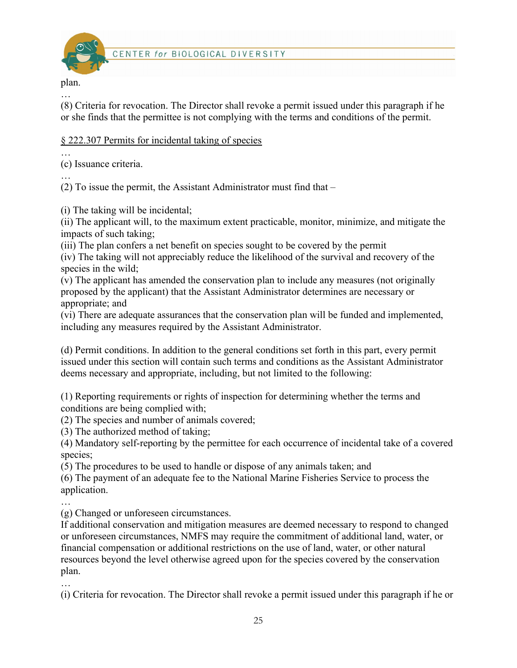

plan. …

(8) Criteria for revocation. The Director shall revoke a permit issued under this paragraph if he or she finds that the permittee is not complying with the terms and conditions of the permit.

## § 222.307 Permits for incidental taking of species

…

(c) Issuance criteria.

…

(2) To issue the permit, the Assistant Administrator must find that –

(i) The taking will be incidental;

(ii) The applicant will, to the maximum extent practicable, monitor, minimize, and mitigate the impacts of such taking;

(iii) The plan confers a net benefit on species sought to be covered by the permit

(iv) The taking will not appreciably reduce the likelihood of the survival and recovery of the species in the wild;

(v) The applicant has amended the conservation plan to include any measures (not originally proposed by the applicant) that the Assistant Administrator determines are necessary or appropriate; and

(vi) There are adequate assurances that the conservation plan will be funded and implemented, including any measures required by the Assistant Administrator.

(d) Permit conditions. In addition to the general conditions set forth in this part, every permit issued under this section will contain such terms and conditions as the Assistant Administrator deems necessary and appropriate, including, but not limited to the following:

(1) Reporting requirements or rights of inspection for determining whether the terms and conditions are being complied with;

(2) The species and number of animals covered;

(3) The authorized method of taking;

(4) Mandatory self-reporting by the permittee for each occurrence of incidental take of a covered species;

(5) The procedures to be used to handle or dispose of any animals taken; and

(6) The payment of an adequate fee to the National Marine Fisheries Service to process the application.

…

…

(g) Changed or unforeseen circumstances.

If additional conservation and mitigation measures are deemed necessary to respond to changed or unforeseen circumstances, NMFS may require the commitment of additional land, water, or financial compensation or additional restrictions on the use of land, water, or other natural resources beyond the level otherwise agreed upon for the species covered by the conservation plan.

(i) Criteria for revocation. The Director shall revoke a permit issued under this paragraph if he or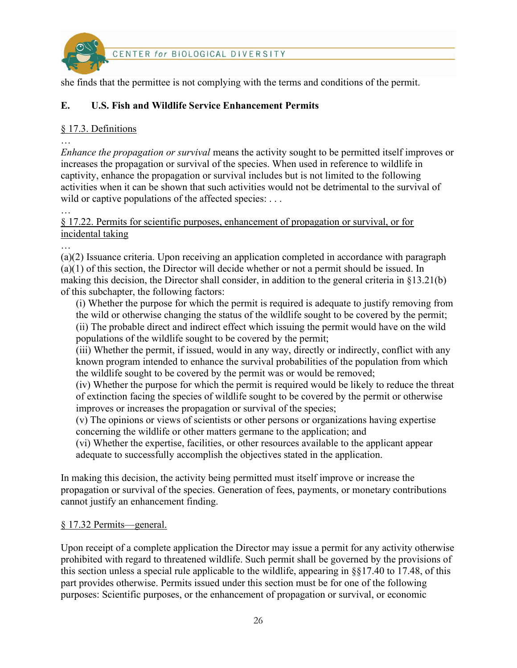

she finds that the permittee is not complying with the terms and conditions of the permit.

## E. U.S. Fish and Wildlife Service Enhancement Permits

## § 17.3. Definitions

…

Enhance the propagation or survival means the activity sought to be permitted itself improves or increases the propagation or survival of the species. When used in reference to wildlife in captivity, enhance the propagation or survival includes but is not limited to the following activities when it can be shown that such activities would not be detrimental to the survival of wild or captive populations of the affected species: . . .

…

§ 17.22. Permits for scientific purposes, enhancement of propagation or survival, or for incidental taking

…

(a)(2) Issuance criteria. Upon receiving an application completed in accordance with paragraph (a)(1) of this section, the Director will decide whether or not a permit should be issued. In making this decision, the Director shall consider, in addition to the general criteria in §13.21(b) of this subchapter, the following factors:

(i) Whether the purpose for which the permit is required is adequate to justify removing from the wild or otherwise changing the status of the wildlife sought to be covered by the permit;

(ii) The probable direct and indirect effect which issuing the permit would have on the wild populations of the wildlife sought to be covered by the permit;

(iii) Whether the permit, if issued, would in any way, directly or indirectly, conflict with any known program intended to enhance the survival probabilities of the population from which the wildlife sought to be covered by the permit was or would be removed;

(iv) Whether the purpose for which the permit is required would be likely to reduce the threat of extinction facing the species of wildlife sought to be covered by the permit or otherwise improves or increases the propagation or survival of the species;

(v) The opinions or views of scientists or other persons or organizations having expertise concerning the wildlife or other matters germane to the application; and

(vi) Whether the expertise, facilities, or other resources available to the applicant appear adequate to successfully accomplish the objectives stated in the application.

In making this decision, the activity being permitted must itself improve or increase the propagation or survival of the species. Generation of fees, payments, or monetary contributions cannot justify an enhancement finding.

## § 17.32 Permits—general.

Upon receipt of a complete application the Director may issue a permit for any activity otherwise prohibited with regard to threatened wildlife. Such permit shall be governed by the provisions of this section unless a special rule applicable to the wildlife, appearing in §§17.40 to 17.48, of this part provides otherwise. Permits issued under this section must be for one of the following purposes: Scientific purposes, or the enhancement of propagation or survival, or economic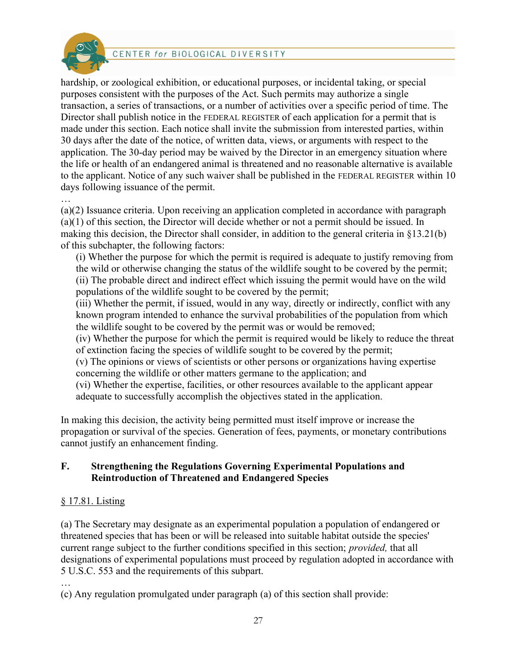

hardship, or zoological exhibition, or educational purposes, or incidental taking, or special purposes consistent with the purposes of the Act. Such permits may authorize a single transaction, a series of transactions, or a number of activities over a specific period of time. The Director shall publish notice in the FEDERAL REGISTER of each application for a permit that is made under this section. Each notice shall invite the submission from interested parties, within 30 days after the date of the notice, of written data, views, or arguments with respect to the application. The 30-day period may be waived by the Director in an emergency situation where the life or health of an endangered animal is threatened and no reasonable alternative is available to the applicant. Notice of any such waiver shall be published in the FEDERAL REGISTER within 10 days following issuance of the permit.

(a)(2) Issuance criteria. Upon receiving an application completed in accordance with paragraph (a)(1) of this section, the Director will decide whether or not a permit should be issued. In making this decision, the Director shall consider, in addition to the general criteria in §13.21(b) of this subchapter, the following factors:

(i) Whether the purpose for which the permit is required is adequate to justify removing from the wild or otherwise changing the status of the wildlife sought to be covered by the permit; (ii) The probable direct and indirect effect which issuing the permit would have on the wild populations of the wildlife sought to be covered by the permit;

(iii) Whether the permit, if issued, would in any way, directly or indirectly, conflict with any known program intended to enhance the survival probabilities of the population from which the wildlife sought to be covered by the permit was or would be removed;

(iv) Whether the purpose for which the permit is required would be likely to reduce the threat of extinction facing the species of wildlife sought to be covered by the permit;

(v) The opinions or views of scientists or other persons or organizations having expertise concerning the wildlife or other matters germane to the application; and

(vi) Whether the expertise, facilities, or other resources available to the applicant appear adequate to successfully accomplish the objectives stated in the application.

In making this decision, the activity being permitted must itself improve or increase the propagation or survival of the species. Generation of fees, payments, or monetary contributions cannot justify an enhancement finding.

## F. Strengthening the Regulations Governing Experimental Populations and Reintroduction of Threatened and Endangered Species

# § 17.81. Listing

…

(a) The Secretary may designate as an experimental population a population of endangered or threatened species that has been or will be released into suitable habitat outside the species' current range subject to the further conditions specified in this section; provided, that all designations of experimental populations must proceed by regulation adopted in accordance with 5 U.S.C. 553 and the requirements of this subpart.

… (c) Any regulation promulgated under paragraph (a) of this section shall provide: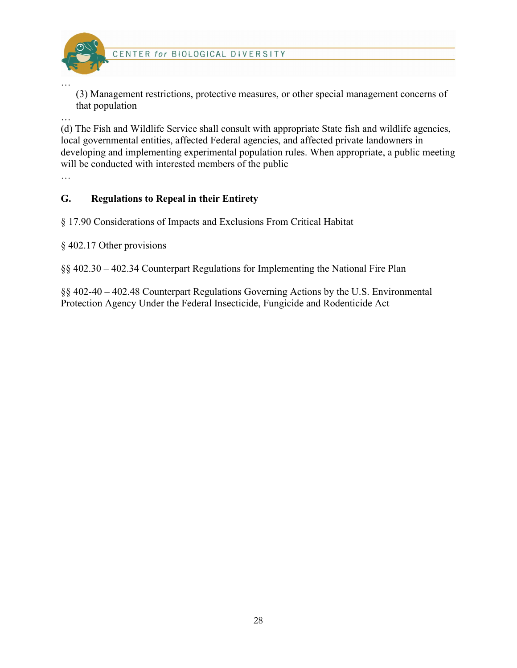

…

(3) Management restrictions, protective measures, or other special management concerns of that population

…

(d) The Fish and Wildlife Service shall consult with appropriate State fish and wildlife agencies, local governmental entities, affected Federal agencies, and affected private landowners in developing and implementing experimental population rules. When appropriate, a public meeting will be conducted with interested members of the public

…

## G. Regulations to Repeal in their Entirety

§ 17.90 Considerations of Impacts and Exclusions From Critical Habitat

## § 402.17 Other provisions

§§ 402.30 – 402.34 Counterpart Regulations for Implementing the National Fire Plan

§§ 402-40 – 402.48 Counterpart Regulations Governing Actions by the U.S. Environmental Protection Agency Under the Federal Insecticide, Fungicide and Rodenticide Act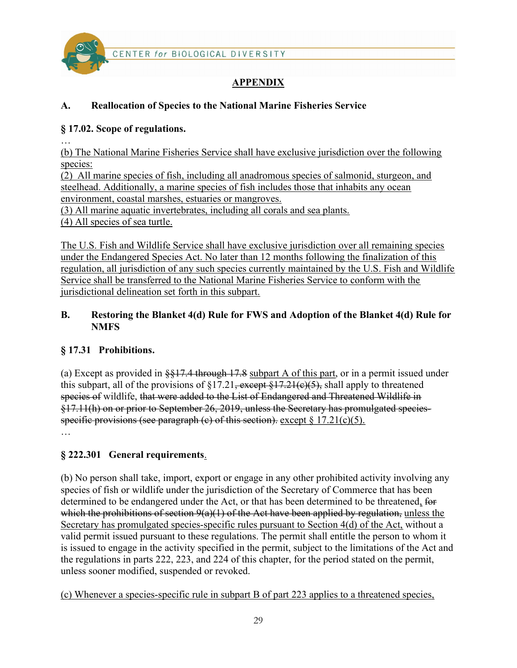



# APPENDIX

# A. Reallocation of Species to the National Marine Fisheries Service

## § 17.02. Scope of regulations.

…

(b) The National Marine Fisheries Service shall have exclusive jurisdiction over the following species:

(2) All marine species of fish, including all anadromous species of salmonid, sturgeon, and steelhead. Additionally, a marine species of fish includes those that inhabits any ocean environment, coastal marshes, estuaries or mangroves.

(3) All marine aquatic invertebrates, including all corals and sea plants.

(4) All species of sea turtle.

The U.S. Fish and Wildlife Service shall have exclusive jurisdiction over all remaining species under the Endangered Species Act. No later than 12 months following the finalization of this regulation, all jurisdiction of any such species currently maintained by the U.S. Fish and Wildlife Service shall be transferred to the National Marine Fisheries Service to conform with the jurisdictional delineation set forth in this subpart.

## B. Restoring the Blanket 4(d) Rule for FWS and Adoption of the Blanket 4(d) Rule for **NMFS**

# § 17.31 Prohibitions.

(a) Except as provided in  $\frac{2517.4 \text{ through } 17.8 \text{ subpart}}{20 \text{ at } 100 \text{ at } 100 \text{ at } 100 \text{ at } 100 \text{ at } 100 \text{ at } 100 \text{ at } 100 \text{ at } 100 \text{ at } 100 \text{ at } 100 \text{ at } 100 \text{ at } 100 \text{ at } 100 \text{ at } 100 \text{ at } 100 \text{ at } 100 \text{ at } 100 \text{ at } 100 \text{ at$ this subpart, all of the provisions of  $\S17.21$ , except  $\S17.21(e)(5)$ , shall apply to threatened species of wildlife, that were added to the List of Endangered and Threatened Wildlife in §17.11(h) on or prior to September 26, 2019, unless the Secretary has promulgated speciesspecific provisions (see paragraph (c) of this section). except  $\S 17.21(c)(5)$ . …

# § 222.301 General requirements.

(b) No person shall take, import, export or engage in any other prohibited activity involving any species of fish or wildlife under the jurisdiction of the Secretary of Commerce that has been determined to be endangered under the Act, or that has been determined to be threatened, for which the prohibitions of section  $9(a)(1)$  of the Act have been applied by regulation, unless the Secretary has promulgated species-specific rules pursuant to Section 4(d) of the Act, without a valid permit issued pursuant to these regulations. The permit shall entitle the person to whom it is issued to engage in the activity specified in the permit, subject to the limitations of the Act and the regulations in parts 222, 223, and 224 of this chapter, for the period stated on the permit, unless sooner modified, suspended or revoked.

(c) Whenever a species-specific rule in subpart B of part 223 applies to a threatened species,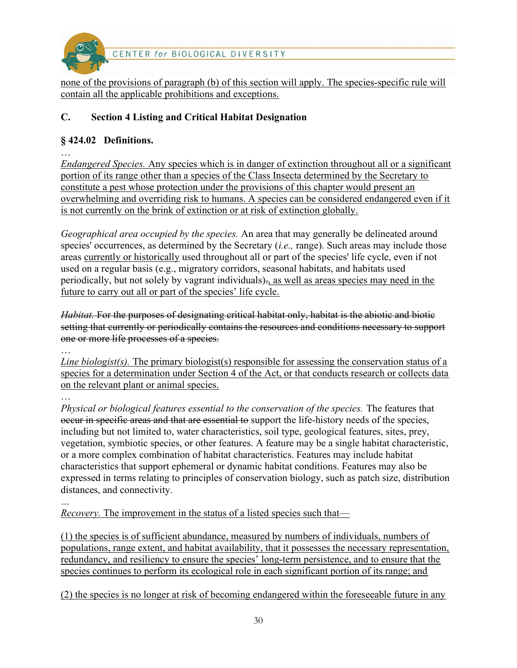

none of the provisions of paragraph (b) of this section will apply. The species-specific rule will contain all the applicable prohibitions and exceptions.

# C. Section 4 Listing and Critical Habitat Designation

# § 424.02 Definitions.

… Endangered Species. Any species which is in danger of extinction throughout all or a significant portion of its range other than a species of the Class Insecta determined by the Secretary to constitute a pest whose protection under the provisions of this chapter would present an overwhelming and overriding risk to humans. A species can be considered endangered even if it is not currently on the brink of extinction or at risk of extinction globally.

Geographical area occupied by the species. An area that may generally be delineated around species' occurrences, as determined by the Secretary (*i.e.*, range). Such areas may include those areas currently or historically used throughout all or part of the species' life cycle, even if not used on a regular basis (e.g., migratory corridors, seasonal habitats, and habitats used periodically, but not solely by vagrant individuals)., as well as areas species may need in the future to carry out all or part of the species' life cycle.

Habitat. For the purposes of designating critical habitat only, habitat is the abiotic and biotic setting that currently or periodically contains the resources and conditions necessary to support one or more life processes of a species.

…

*Line biologist(s)*. The primary biologist(s) responsible for assessing the conservation status of a species for a determination under Section 4 of the Act, or that conducts research or collects data on the relevant plant or animal species.

…

Physical or biological features essential to the conservation of the species. The features that occur in specific areas and that are essential to support the life-history needs of the species, including but not limited to, water characteristics, soil type, geological features, sites, prey, vegetation, symbiotic species, or other features. A feature may be a single habitat characteristic, or a more complex combination of habitat characteristics. Features may include habitat characteristics that support ephemeral or dynamic habitat conditions. Features may also be expressed in terms relating to principles of conservation biology, such as patch size, distribution distances, and connectivity.

Recovery. The improvement in the status of a listed species such that—

(1) the species is of sufficient abundance, measured by numbers of individuals, numbers of populations, range extent, and habitat availability, that it possesses the necessary representation, redundancy, and resiliency to ensure the species' long-term persistence, and to ensure that the species continues to perform its ecological role in each significant portion of its range; and

(2) the species is no longer at risk of becoming endangered within the foreseeable future in any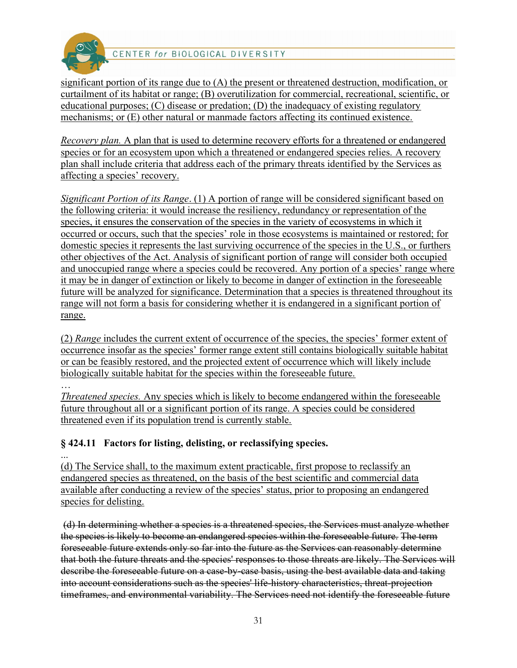

significant portion of its range due to (A) the present or threatened destruction, modification, or curtailment of its habitat or range; (B) overutilization for commercial, recreational, scientific, or educational purposes; (C) disease or predation; (D) the inadequacy of existing regulatory mechanisms; or (E) other natural or manmade factors affecting its continued existence.

Recovery plan. A plan that is used to determine recovery efforts for a threatened or endangered species or for an ecosystem upon which a threatened or endangered species relies. A recovery plan shall include criteria that address each of the primary threats identified by the Services as affecting a species' recovery.

Significant Portion of its Range. (1) A portion of range will be considered significant based on the following criteria: it would increase the resiliency, redundancy or representation of the species, it ensures the conservation of the species in the variety of ecosystems in which it occurred or occurs, such that the species' role in those ecosystems is maintained or restored; for domestic species it represents the last surviving occurrence of the species in the U.S., or furthers other objectives of the Act. Analysis of significant portion of range will consider both occupied and unoccupied range where a species could be recovered. Any portion of a species' range where it may be in danger of extinction or likely to become in danger of extinction in the foreseeable future will be analyzed for significance. Determination that a species is threatened throughout its range will not form a basis for considering whether it is endangered in a significant portion of range.

(2) Range includes the current extent of occurrence of the species, the species' former extent of occurrence insofar as the species' former range extent still contains biologically suitable habitat or can be feasibly restored, and the projected extent of occurrence which will likely include biologically suitable habitat for the species within the foreseeable future.

…

Threatened species. Any species which is likely to become endangered within the foreseeable future throughout all or a significant portion of its range. A species could be considered threatened even if its population trend is currently stable.

# § 424.11 Factors for listing, delisting, or reclassifying species.

...

(d) The Service shall, to the maximum extent practicable, first propose to reclassify an endangered species as threatened, on the basis of the best scientific and commercial data available after conducting a review of the species' status, prior to proposing an endangered

species for delisting.

 (d) In determining whether a species is a threatened species, the Services must analyze whether the species is likely to become an endangered species within the foreseeable future. The term foreseeable future extends only so far into the future as the Services can reasonably determine that both the future threats and the species' responses to those threats are likely. The Services will describe the foreseeable future on a case-by-case basis, using the best available data and taking into account considerations such as the species' life-history characteristics, threat-projection timeframes, and environmental variability. The Services need not identify the foreseeable future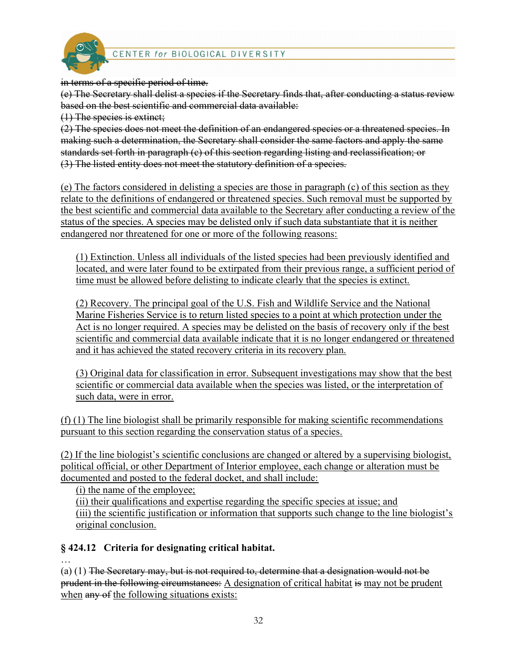

in terms of a specific period of time.

(e) The Secretary shall delist a species if the Secretary finds that, after conducting a status review based on the best scientific and commercial data available:

(1) The species is extinct;

(2) The species does not meet the definition of an endangered species or a threatened species. In making such a determination, the Secretary shall consider the same factors and apply the same standards set forth in paragraph (c) of this section regarding listing and reclassification; or (3) The listed entity does not meet the statutory definition of a species.

(e) The factors considered in delisting a species are those in paragraph (c) of this section as they relate to the definitions of endangered or threatened species. Such removal must be supported by the best scientific and commercial data available to the Secretary after conducting a review of the status of the species. A species may be delisted only if such data substantiate that it is neither endangered nor threatened for one or more of the following reasons:

(1) Extinction. Unless all individuals of the listed species had been previously identified and located, and were later found to be extirpated from their previous range, a sufficient period of time must be allowed before delisting to indicate clearly that the species is extinct.

(2) Recovery. The principal goal of the U.S. Fish and Wildlife Service and the National Marine Fisheries Service is to return listed species to a point at which protection under the Act is no longer required. A species may be delisted on the basis of recovery only if the best scientific and commercial data available indicate that it is no longer endangered or threatened and it has achieved the stated recovery criteria in its recovery plan.

(3) Original data for classification in error. Subsequent investigations may show that the best scientific or commercial data available when the species was listed, or the interpretation of such data, were in error.

(f) (1) The line biologist shall be primarily responsible for making scientific recommendations pursuant to this section regarding the conservation status of a species.

(2) If the line biologist's scientific conclusions are changed or altered by a supervising biologist, political official, or other Department of Interior employee, each change or alteration must be documented and posted to the federal docket, and shall include:

(i) the name of the employee;

(ii) their qualifications and expertise regarding the specific species at issue; and (iii) the scientific justification or information that supports such change to the line biologist's original conclusion.

# § 424.12 Criteria for designating critical habitat.

…

 $(a)$  (1) The Secretary may, but is not required to, determine that a designation would not be prudent in the following circumstances: A designation of critical habitat is may not be prudent when any of the following situations exists: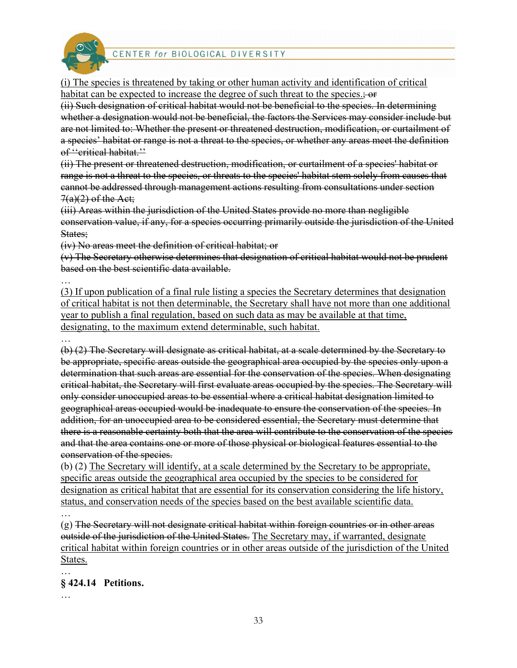

(i) The species is threatened by taking or other human activity and identification of critical habitat can be expected to increase the degree of such threat to the species.; or

(ii) Such designation of critical habitat would not be beneficial to the species. In determining whether a designation would not be beneficial, the factors the Services may consider include but are not limited to: Whether the present or threatened destruction, modification, or curtailment of a species' habitat or range is not a threat to the species, or whether any areas meet the definition of ''critical habitat.''

(ii) The present or threatened destruction, modification, or curtailment of a species' habitat or range is not a threat to the species, or threats to the species' habitat stem solely from causes that cannot be addressed through management actions resulting from consultations under section  $7(a)(2)$  of the Act;

(iii) Areas within the jurisdiction of the United States provide no more than negligible conservation value, if any, for a species occurring primarily outside the jurisdiction of the United States:

(iv) No areas meet the definition of critical habitat; or

(v) The Secretary otherwise determines that designation of critical habitat would not be prudent based on the best scientific data available.

…

(3) If upon publication of a final rule listing a species the Secretary determines that designation of critical habitat is not then determinable, the Secretary shall have not more than one additional year to publish a final regulation, based on such data as may be available at that time, designating, to the maximum extend determinable, such habitat.

…

(b) (2) The Secretary will designate as critical habitat, at a scale determined by the Secretary to be appropriate, specific areas outside the geographical area occupied by the species only upon a determination that such areas are essential for the conservation of the species. When designating critical habitat, the Secretary will first evaluate areas occupied by the species. The Secretary will only consider unoccupied areas to be essential where a critical habitat designation limited to geographical areas occupied would be inadequate to ensure the conservation of the species. In addition, for an unoccupied area to be considered essential, the Secretary must determine that there is a reasonable certainty both that the area will contribute to the conservation of the species and that the area contains one or more of those physical or biological features essential to the conservation of the species.

(b) (2) The Secretary will identify, at a scale determined by the Secretary to be appropriate, specific areas outside the geographical area occupied by the species to be considered for designation as critical habitat that are essential for its conservation considering the life history, status, and conservation needs of the species based on the best available scientific data.

…

 $(g)$  The Secretary will not designate critical habitat within foreign countries or in other areas outside of the jurisdiction of the United States. The Secretary may, if warranted, designate critical habitat within foreign countries or in other areas outside of the jurisdiction of the United States.

§ 424.14 Petitions.

…

…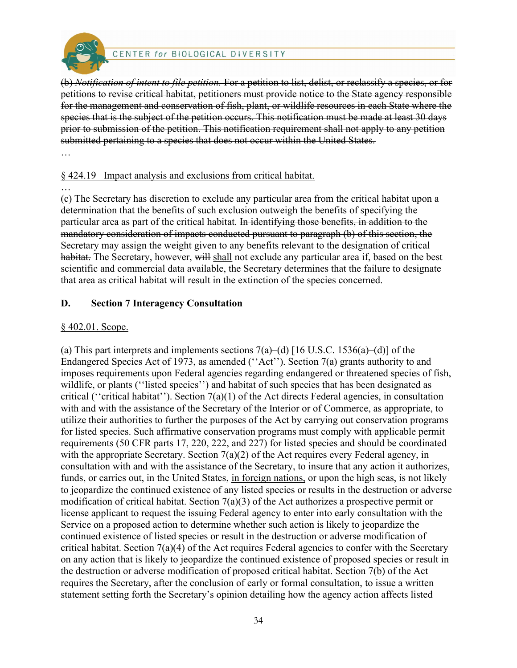

(b) Notification of intent to file petition. For a petition to list, delist, or reclassify a species, or for petitions to revise critical habitat, petitioners must provide notice to the State agency responsible for the management and conservation of fish, plant, or wildlife resources in each State where the species that is the subject of the petition occurs. This notification must be made at least 30 days prior to submission of the petition. This notification requirement shall not apply to any petition submitted pertaining to a species that does not occur within the United States.

…

## § 424.19 Impact analysis and exclusions from critical habitat.

…

(c) The Secretary has discretion to exclude any particular area from the critical habitat upon a determination that the benefits of such exclusion outweigh the benefits of specifying the particular area as part of the critical habitat. In identifying those benefits, in addition to the mandatory consideration of impacts conducted pursuant to paragraph (b) of this section, the Secretary may assign the weight given to any benefits relevant to the designation of critical habitat. The Secretary, however, will shall not exclude any particular area if, based on the best scientific and commercial data available, the Secretary determines that the failure to designate that area as critical habitat will result in the extinction of the species concerned.

# D. Section 7 Interagency Consultation

## § 402.01. Scope.

(a) This part interprets and implements sections  $7(a)$ –(d) [16 U.S.C. 1536(a)–(d)] of the Endangered Species Act of 1973, as amended ("Act"). Section 7(a) grants authority to and imposes requirements upon Federal agencies regarding endangered or threatened species of fish, wildlife, or plants ("listed species") and habitat of such species that has been designated as critical ("critical habitat"). Section  $7(a)(1)$  of the Act directs Federal agencies, in consultation with and with the assistance of the Secretary of the Interior or of Commerce, as appropriate, to utilize their authorities to further the purposes of the Act by carrying out conservation programs for listed species. Such affirmative conservation programs must comply with applicable permit requirements (50 CFR parts 17, 220, 222, and 227) for listed species and should be coordinated with the appropriate Secretary. Section  $7(a)(2)$  of the Act requires every Federal agency, in consultation with and with the assistance of the Secretary, to insure that any action it authorizes, funds, or carries out, in the United States, in foreign nations, or upon the high seas, is not likely to jeopardize the continued existence of any listed species or results in the destruction or adverse modification of critical habitat. Section  $7(a)(3)$  of the Act authorizes a prospective permit or license applicant to request the issuing Federal agency to enter into early consultation with the Service on a proposed action to determine whether such action is likely to jeopardize the continued existence of listed species or result in the destruction or adverse modification of critical habitat. Section  $7(a)(4)$  of the Act requires Federal agencies to confer with the Secretary on any action that is likely to jeopardize the continued existence of proposed species or result in the destruction or adverse modification of proposed critical habitat. Section 7(b) of the Act requires the Secretary, after the conclusion of early or formal consultation, to issue a written statement setting forth the Secretary's opinion detailing how the agency action affects listed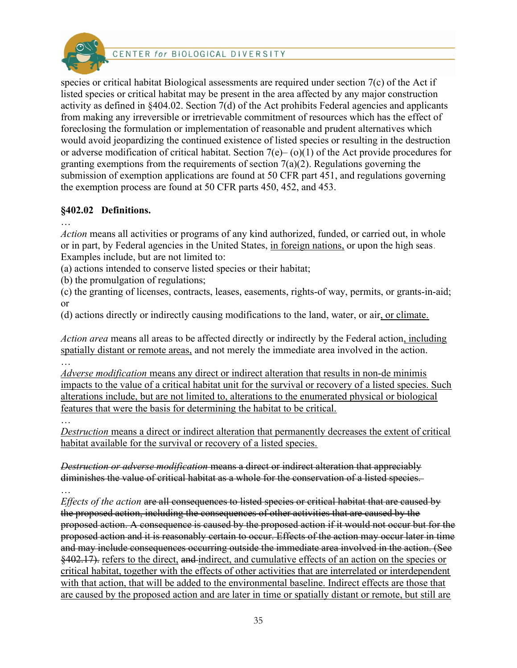

species or critical habitat Biological assessments are required under section 7(c) of the Act if listed species or critical habitat may be present in the area affected by any major construction activity as defined in §404.02. Section 7(d) of the Act prohibits Federal agencies and applicants from making any irreversible or irretrievable commitment of resources which has the effect of foreclosing the formulation or implementation of reasonable and prudent alternatives which would avoid jeopardizing the continued existence of listed species or resulting in the destruction or adverse modification of critical habitat. Section  $7(e)$ – $(o)(1)$  of the Act provide procedures for granting exemptions from the requirements of section  $7(a)(2)$ . Regulations governing the submission of exemption applications are found at 50 CFR part 451, and regulations governing the exemption process are found at 50 CFR parts 450, 452, and 453.

# §402.02 Definitions.

…

Action means all activities or programs of any kind authorized, funded, or carried out, in whole or in part, by Federal agencies in the United States, in foreign nations, or upon the high seas. Examples include, but are not limited to:

(a) actions intended to conserve listed species or their habitat;

(b) the promulgation of regulations;

(c) the granting of licenses, contracts, leases, easements, rights-of way, permits, or grants-in-aid; or

(d) actions directly or indirectly causing modifications to the land, water, or air, or climate.

Action area means all areas to be affected directly or indirectly by the Federal action, including spatially distant or remote areas, and not merely the immediate area involved in the action. …

Adverse modification means any direct or indirect alteration that results in non-de minimis impacts to the value of a critical habitat unit for the survival or recovery of a listed species. Such alterations include, but are not limited to, alterations to the enumerated physical or biological features that were the basis for determining the habitat to be critical.

…

Destruction means a direct or indirect alteration that permanently decreases the extent of critical habitat available for the survival or recovery of a listed species.

Destruction or adverse modification means a direct or indirect alteration that appreciably diminishes the value of critical habitat as a whole for the conservation of a listed species.

…

Effects of the action are all consequences to listed species or critical habitat that are caused by the proposed action, including the consequences of other activities that are caused by the proposed action. A consequence is caused by the proposed action if it would not occur but for the proposed action and it is reasonably certain to occur. Effects of the action may occur later in time and may include consequences occurring outside the immediate area involved in the action. (See §402.17). refers to the direct, and indirect, and cumulative effects of an action on the species or critical habitat, together with the effects of other activities that are interrelated or interdependent with that action, that will be added to the environmental baseline. Indirect effects are those that are caused by the proposed action and are later in time or spatially distant or remote, but still are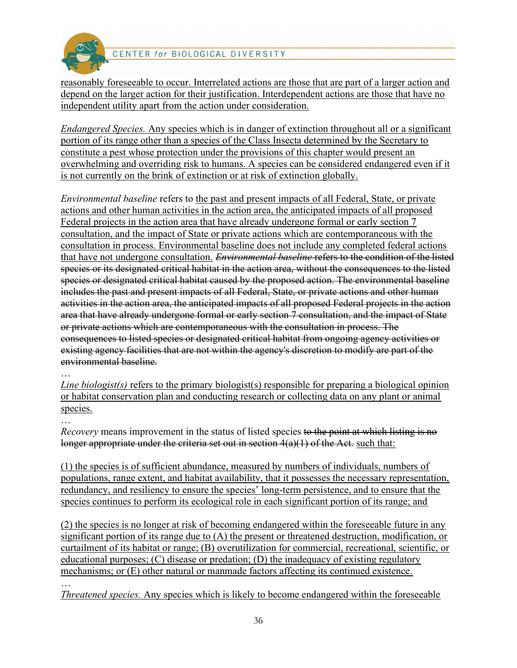

reasonably foreseeable to occur. Interrelated actions are those that are part of a larger action and depend on the larger action for their justification. Interdependent actions are those that have no independent utility apart from the action under consideration.

Endangered Species. Any species which is in danger of extinction throughout all or a significant portion of its range other than a species of the Class Insecta determined by the Secretary to constitute a pest whose protection under the provisions of this chapter would present an overwhelming and overriding risk to humans. A species can be considered endangered even if it is not currently on the brink of extinction or at risk of extinction globally.

Environmental baseline refers to the past and present impacts of all Federal, State, or private actions and other human activities in the action area, the anticipated impacts of all proposed Federal projects in the action area that have already undergone formal or early section 7 consultation, and the impact of State or private actions which are contemporaneous with the consultation in process. Environmental baseline does not include any completed federal actions that have not undergone consultation. Environmental baseline refers to the condition of the listed species or its designated critical habitat in the action area, without the consequences to the listed species or designated critical habitat caused by the proposed action. The environmental baseline includes the past and present impacts of all Federal, State, or private actions and other human activities in the action area, the anticipated impacts of all proposed Federal projects in the action area that have already undergone formal or early section 7 consultation, and the impact of State or private actions which are contemporaneous with the consultation in process. The consequences to listed species or designated critical habitat from ongoing agency activities or existing agency facilities that are not within the agency's discretion to modify are part of the environmental baseline.

…

Line biologist(s) refers to the primary biologist(s) responsible for preparing a biological opinion or habitat conservation plan and conducting research or collecting data on any plant or animal species.

…

Recovery means improvement in the status of listed species to the point at which listing is no longer appropriate under the criteria set out in section  $4(a)(1)$  of the Act. such that:

(1) the species is of sufficient abundance, measured by numbers of individuals, numbers of populations, range extent, and habitat availability, that it possesses the necessary representation, redundancy, and resiliency to ensure the species' long-term persistence, and to ensure that the species continues to perform its ecological role in each significant portion of its range; and

(2) the species is no longer at risk of becoming endangered within the foreseeable future in any significant portion of its range due to (A) the present or threatened destruction, modification, or curtailment of its habitat or range; (B) overutilization for commercial, recreational, scientific, or educational purposes; (C) disease or predation; (D) the inadequacy of existing regulatory mechanisms; or (E) other natural or manmade factors affecting its continued existence. …

Threatened species. Any species which is likely to become endangered within the foreseeable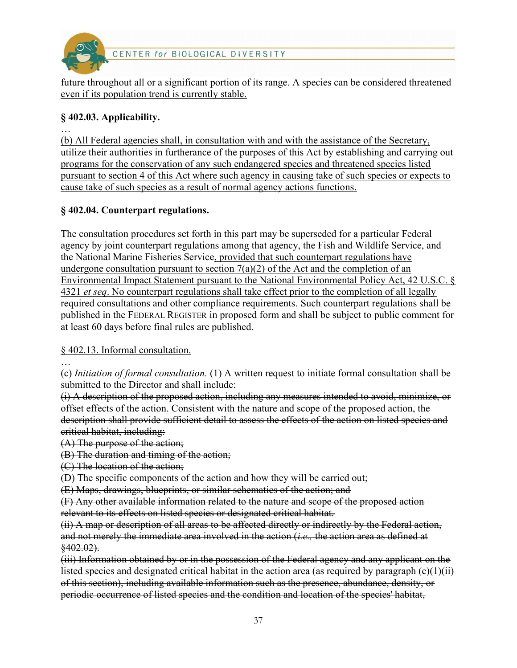

…

future throughout all or a significant portion of its range. A species can be considered threatened even if its population trend is currently stable.

# § 402.03. Applicability.

(b) All Federal agencies shall, in consultation with and with the assistance of the Secretary, utilize their authorities in furtherance of the purposes of this Act by establishing and carrying out programs for the conservation of any such endangered species and threatened species listed pursuant to section 4 of this Act where such agency in causing take of such species or expects to cause take of such species as a result of normal agency actions functions.

# § 402.04. Counterpart regulations.

The consultation procedures set forth in this part may be superseded for a particular Federal agency by joint counterpart regulations among that agency, the Fish and Wildlife Service, and the National Marine Fisheries Service, provided that such counterpart regulations have undergone consultation pursuant to section  $7(a)(2)$  of the Act and the completion of an Environmental Impact Statement pursuant to the National Environmental Policy Act, 42 U.S.C. § 4321 et seq. No counterpart regulations shall take effect prior to the completion of all legally required consultations and other compliance requirements. Such counterpart regulations shall be published in the FEDERAL REGISTER in proposed form and shall be subject to public comment for at least 60 days before final rules are published.

# § 402.13. Informal consultation.

…

(c) Initiation of formal consultation. (1) A written request to initiate formal consultation shall be submitted to the Director and shall include:

(i) A description of the proposed action, including any measures intended to avoid, minimize, or offset effects of the action. Consistent with the nature and scope of the proposed action, the description shall provide sufficient detail to assess the effects of the action on listed species and critical habitat, including:

(A) The purpose of the action;

(B) The duration and timing of the action;

(C) The location of the action;

(D) The specific components of the action and how they will be carried out;

(E) Maps, drawings, blueprints, or similar schematics of the action; and

(F) Any other available information related to the nature and scope of the proposed action relevant to its effects on listed species or designated critical habitat.

(ii) A map or description of all areas to be affected directly or indirectly by the Federal action, and not merely the immediate area involved in the action  $(i.e.,$  the action area as defined at  $$402.02$ ).

(iii) Information obtained by or in the possession of the Federal agency and any applicant on the listed species and designated critical habitat in the action area (as required by paragraph (c)(1)(ii) of this section), including available information such as the presence, abundance, density, or periodic occurrence of listed species and the condition and location of the species' habitat,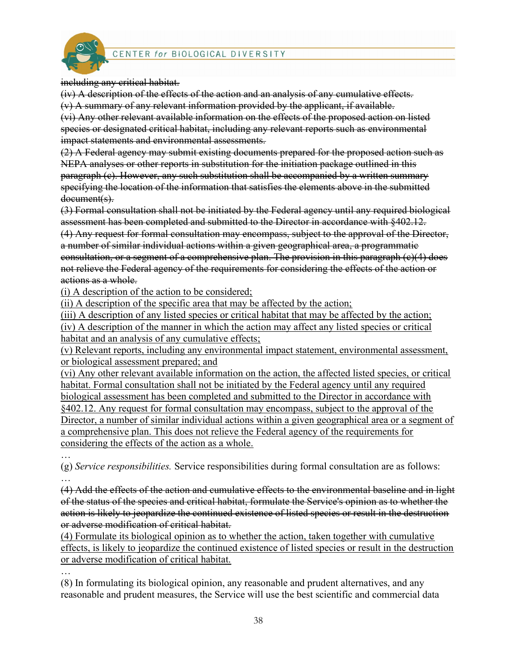

including any critical habitat.

(iv) A description of the effects of the action and an analysis of any cumulative effects. (v) A summary of any relevant information provided by the applicant, if available.

(vi) Any other relevant available information on the effects of the proposed action on listed species or designated critical habitat, including any relevant reports such as environmental impact statements and environmental assessments.

(2) A Federal agency may submit existing documents prepared for the proposed action such as NEPA analyses or other reports in substitution for the initiation package outlined in this paragraph (c). However, any such substitution shall be accompanied by a written summary specifying the location of the information that satisfies the elements above in the submitted document(s).

(3) Formal consultation shall not be initiated by the Federal agency until any required biological assessment has been completed and submitted to the Director in accordance with §402.12. (4) Any request for formal consultation may encompass, subject to the approval of the Director, a number of similar individual actions within a given geographical area, a programmatic consultation, or a segment of a comprehensive plan. The provision in this paragraph  $(e)(4)$  does not relieve the Federal agency of the requirements for considering the effects of the action or actions as a whole.

(i) A description of the action to be considered;

(ii) A description of the specific area that may be affected by the action;

(iii) A description of any listed species or critical habitat that may be affected by the action; (iv) A description of the manner in which the action may affect any listed species or critical habitat and an analysis of any cumulative effects;

(v) Relevant reports, including any environmental impact statement, environmental assessment, or biological assessment prepared; and

(vi) Any other relevant available information on the action, the affected listed species, or critical habitat. Formal consultation shall not be initiated by the Federal agency until any required biological assessment has been completed and submitted to the Director in accordance with §402.12. Any request for formal consultation may encompass, subject to the approval of the Director, a number of similar individual actions within a given geographical area or a segment of a comprehensive plan. This does not relieve the Federal agency of the requirements for considering the effects of the action as a whole.

…

(g) Service responsibilities. Service responsibilities during formal consultation are as follows: …

(4) Add the effects of the action and cumulative effects to the environmental baseline and in light of the status of the species and critical habitat, formulate the Service's opinion as to whether the action is likely to jeopardize the continued existence of listed species or result in the destruction or adverse modification of critical habitat.

(4) Formulate its biological opinion as to whether the action, taken together with cumulative effects, is likely to jeopardize the continued existence of listed species or result in the destruction or adverse modification of critical habitat.

…

(8) In formulating its biological opinion, any reasonable and prudent alternatives, and any reasonable and prudent measures, the Service will use the best scientific and commercial data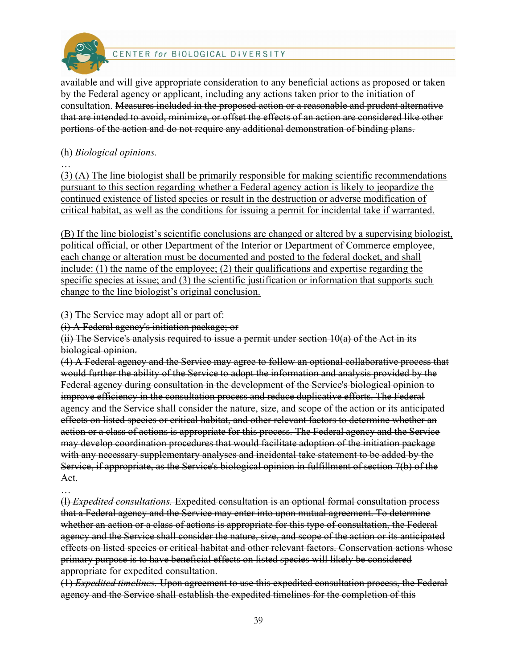

…

available and will give appropriate consideration to any beneficial actions as proposed or taken by the Federal agency or applicant, including any actions taken prior to the initiation of consultation. Measures included in the proposed action or a reasonable and prudent alternative that are intended to avoid, minimize, or offset the effects of an action are considered like other portions of the action and do not require any additional demonstration of binding plans.

## (h) Biological opinions.

(3) (A) The line biologist shall be primarily responsible for making scientific recommendations pursuant to this section regarding whether a Federal agency action is likely to jeopardize the continued existence of listed species or result in the destruction or adverse modification of critical habitat, as well as the conditions for issuing a permit for incidental take if warranted.

(B) If the line biologist's scientific conclusions are changed or altered by a supervising biologist, political official, or other Department of the Interior or Department of Commerce employee, each change or alteration must be documented and posted to the federal docket, and shall include: (1) the name of the employee; (2) their qualifications and expertise regarding the specific species at issue; and (3) the scientific justification or information that supports such change to the line biologist's original conclusion.

(3) The Service may adopt all or part of:

(i) A Federal agency's initiation package; or

 $(ii)$  The Service's analysis required to issue a permit under section  $10(a)$  of the Act in its biological opinion.

(4) A Federal agency and the Service may agree to follow an optional collaborative process that would further the ability of the Service to adopt the information and analysis provided by the Federal agency during consultation in the development of the Service's biological opinion to improve efficiency in the consultation process and reduce duplicative efforts. The Federal agency and the Service shall consider the nature, size, and scope of the action or its anticipated effects on listed species or critical habitat, and other relevant factors to determine whether an action or a class of actions is appropriate for this process. The Federal agency and the Service may develop coordination procedures that would facilitate adoption of the initiation package with any necessary supplementary analyses and incidental take statement to be added by the Service, if appropriate, as the Service's biological opinion in fulfillment of section 7(b) of the Act.

…

(1) *Expedited consultations*. Expedited consultation is an optional formal consultation process that a Federal agency and the Service may enter into upon mutual agreement. To determine whether an action or a class of actions is appropriate for this type of consultation, the Federal agency and the Service shall consider the nature, size, and scope of the action or its anticipated effects on listed species or critical habitat and other relevant factors. Conservation actions whose primary purpose is to have beneficial effects on listed species will likely be considered appropriate for expedited consultation.

(1) Expedited timelines. Upon agreement to use this expedited consultation process, the Federal agency and the Service shall establish the expedited timelines for the completion of this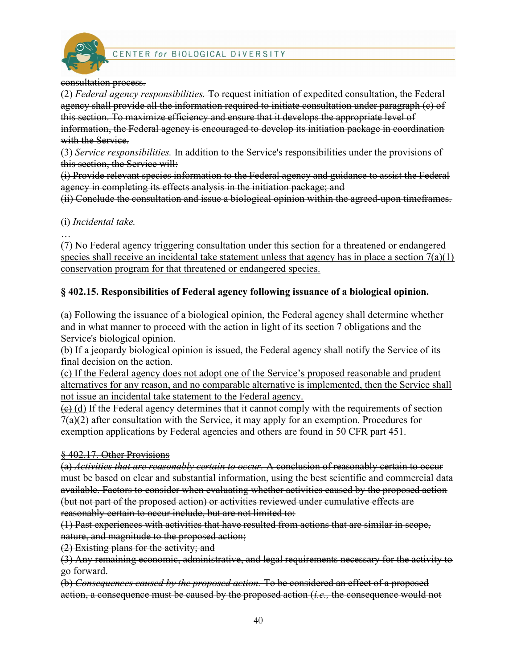

#### consultation process.

(2) Federal agency responsibilities. To request initiation of expedited consultation, the Federal agency shall provide all the information required to initiate consultation under paragraph (c) of this section. To maximize efficiency and ensure that it develops the appropriate level of information, the Federal agency is encouraged to develop its initiation package in coordination with the Service.

(3) Service responsibilities. In addition to the Service's responsibilities under the provisions of this section, the Service will:

(i) Provide relevant species information to the Federal agency and guidance to assist the Federal agency in completing its effects analysis in the initiation package; and

(ii) Conclude the consultation and issue a biological opinion within the agreed-upon timeframes.

## (i) Incidental take.

… (7) No Federal agency triggering consultation under this section for a threatened or endangered species shall receive an incidental take statement unless that agency has in place a section  $7(a)(1)$ conservation program for that threatened or endangered species.

## § 402.15. Responsibilities of Federal agency following issuance of a biological opinion.

(a) Following the issuance of a biological opinion, the Federal agency shall determine whether and in what manner to proceed with the action in light of its section 7 obligations and the Service's biological opinion.

(b) If a jeopardy biological opinion is issued, the Federal agency shall notify the Service of its final decision on the action.

(c) If the Federal agency does not adopt one of the Service's proposed reasonable and prudent alternatives for any reason, and no comparable alternative is implemented, then the Service shall not issue an incidental take statement to the Federal agency.

 $\left( \epsilon \right)$  (d) If the Federal agency determines that it cannot comply with the requirements of section 7(a)(2) after consultation with the Service, it may apply for an exemption. Procedures for exemption applications by Federal agencies and others are found in 50 CFR part 451.

## § 402.17. Other Provisions

(a) Activities that are reasonably certain to occur. A conclusion of reasonably certain to occur must be based on clear and substantial information, using the best scientific and commercial data available. Factors to consider when evaluating whether activities caused by the proposed action (but not part of the proposed action) or activities reviewed under cumulative effects are reasonably certain to occur include, but are not limited to:

(1) Past experiences with activities that have resulted from actions that are similar in scope, nature, and magnitude to the proposed action;

(2) Existing plans for the activity; and

(3) Any remaining economic, administrative, and legal requirements necessary for the activity to go forward.

(b) Consequences caused by the proposed action. To be considered an effect of a proposed action, a consequence must be caused by the proposed action  $(i.e.,$  the consequence would not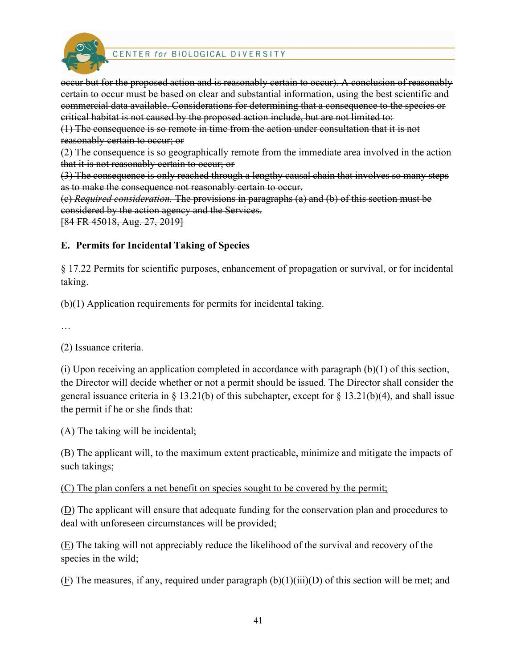

occur but for the proposed action and is reasonably certain to occur). A conclusion of reasonably certain to occur must be based on clear and substantial information, using the best scientific and commercial data available. Considerations for determining that a consequence to the species or critical habitat is not caused by the proposed action include, but are not limited to:

(1) The consequence is so remote in time from the action under consultation that it is not reasonably certain to occur; or

(2) The consequence is so geographically remote from the immediate area involved in the action that it is not reasonably certain to occur; or

(3) The consequence is only reached through a lengthy causal chain that involves so many steps as to make the consequence not reasonably certain to occur.

(c) Required consideration. The provisions in paragraphs (a) and (b) of this section must be considered by the action agency and the Services.

[84 FR 45018, Aug. 27, 2019]

## E. Permits for Incidental Taking of Species

§ 17.22 Permits for scientific purposes, enhancement of propagation or survival, or for incidental taking.

(b)(1) Application requirements for permits for incidental taking.

…

(2) Issuance criteria.

(i) Upon receiving an application completed in accordance with paragraph (b)(1) of this section, the Director will decide whether or not a permit should be issued. The Director shall consider the general issuance criteria in § 13.21(b) of this subchapter, except for § 13.21(b)(4), and shall issue the permit if he or she finds that:

(A) The taking will be incidental;

(B) The applicant will, to the maximum extent practicable, minimize and mitigate the impacts of such takings;

(C) The plan confers a net benefit on species sought to be covered by the permit;

 $(D)$  The applicant will ensure that adequate funding for the conservation plan and procedures to deal with unforeseen circumstances will be provided;

(E) The taking will not appreciably reduce the likelihood of the survival and recovery of the species in the wild;

(F) The measures, if any, required under paragraph  $(b)(1)(iii)(D)$  of this section will be met; and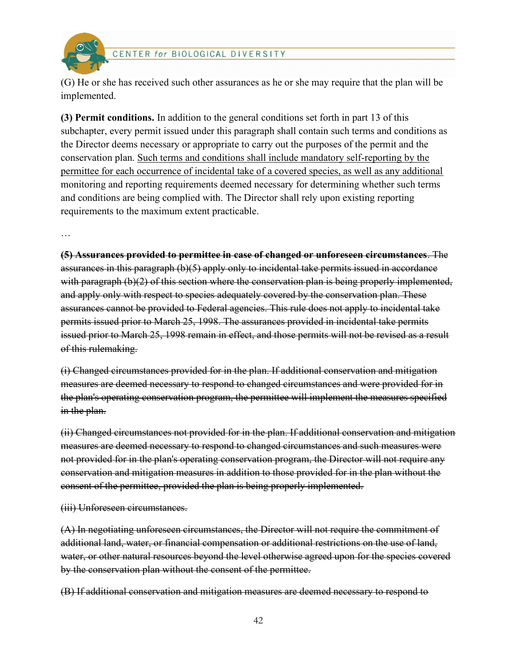

(G) He or she has received such other assurances as he or she may require that the plan will be implemented.

(3) Permit conditions. In addition to the general conditions set forth in part 13 of this subchapter, every permit issued under this paragraph shall contain such terms and conditions as the Director deems necessary or appropriate to carry out the purposes of the permit and the conservation plan. Such terms and conditions shall include mandatory self-reporting by the permittee for each occurrence of incidental take of a covered species, as well as any additional monitoring and reporting requirements deemed necessary for determining whether such terms and conditions are being complied with. The Director shall rely upon existing reporting requirements to the maximum extent practicable.

…

(5) Assurances provided to permittee in case of changed or unforeseen circumstances. The assurances in this paragraph (b)(5) apply only to incidental take permits issued in accordance with paragraph  $(b)(2)$  of this section where the conservation plan is being properly implemented, and apply only with respect to species adequately covered by the conservation plan. These assurances cannot be provided to Federal agencies. This rule does not apply to incidental take permits issued prior to March 25, 1998. The assurances provided in incidental take permits issued prior to March 25, 1998 remain in effect, and those permits will not be revised as a result of this rulemaking.

(i) Changed circumstances provided for in the plan. If additional conservation and mitigation measures are deemed necessary to respond to changed circumstances and were provided for in the plan's operating conservation program, the permittee will implement the measures specified in the plan.

(ii) Changed circumstances not provided for in the plan. If additional conservation and mitigation measures are deemed necessary to respond to changed circumstances and such measures were not provided for in the plan's operating conservation program, the Director will not require any conservation and mitigation measures in addition to those provided for in the plan without the consent of the permittee, provided the plan is being properly implemented.

(iii) Unforeseen circumstances.

(A) In negotiating unforeseen circumstances, the Director will not require the commitment of additional land, water, or financial compensation or additional restrictions on the use of land, water, or other natural resources beyond the level otherwise agreed upon for the species covered by the conservation plan without the consent of the permittee.

(B) If additional conservation and mitigation measures are deemed necessary to respond to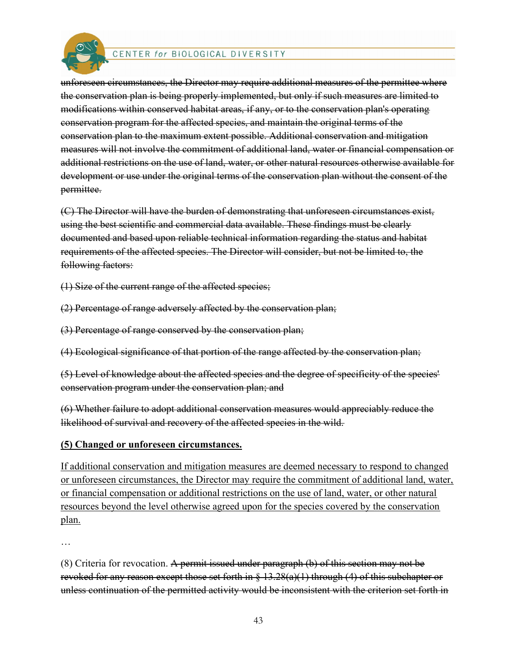

unforeseen circumstances, the Director may require additional measures of the permittee where the conservation plan is being properly implemented, but only if such measures are limited to modifications within conserved habitat areas, if any, or to the conservation plan's operating conservation program for the affected species, and maintain the original terms of the conservation plan to the maximum extent possible. Additional conservation and mitigation measures will not involve the commitment of additional land, water or financial compensation or additional restrictions on the use of land, water, or other natural resources otherwise available for development or use under the original terms of the conservation plan without the consent of the permittee.

(C) The Director will have the burden of demonstrating that unforeseen circumstances exist, using the best scientific and commercial data available. These findings must be clearly documented and based upon reliable technical information regarding the status and habitat requirements of the affected species. The Director will consider, but not be limited to, the following factors:

(1) Size of the current range of the affected species;

(2) Percentage of range adversely affected by the conservation plan;

(3) Percentage of range conserved by the conservation plan;

(4) Ecological significance of that portion of the range affected by the conservation plan;

(5) Level of knowledge about the affected species and the degree of specificity of the species' conservation program under the conservation plan; and

(6) Whether failure to adopt additional conservation measures would appreciably reduce the likelihood of survival and recovery of the affected species in the wild.

## (5) Changed or unforeseen circumstances.

If additional conservation and mitigation measures are deemed necessary to respond to changed or unforeseen circumstances, the Director may require the commitment of additional land, water, or financial compensation or additional restrictions on the use of land, water, or other natural resources beyond the level otherwise agreed upon for the species covered by the conservation plan.

…

 $(8)$  Criteria for revocation. A permit issued under paragraph  $(b)$  of this section may not be revoked for any reason except those set forth in  $\S$  13.28(a)(1) through (4) of this subchapter or unless continuation of the permitted activity would be inconsistent with the criterion set forth in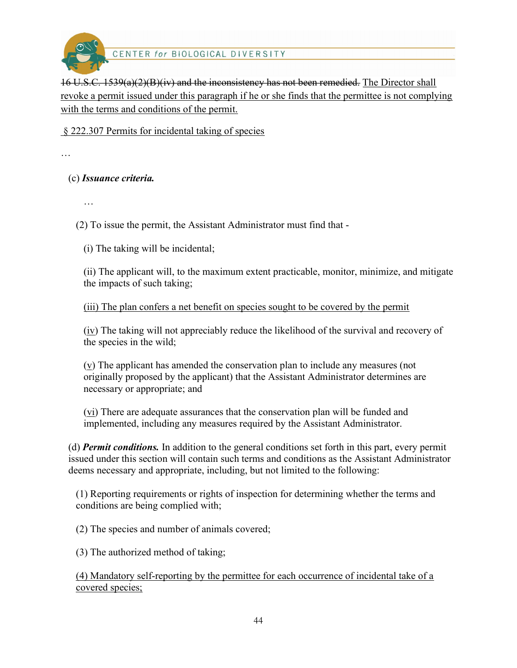

16 U.S.C. 1539(a)(2)(B)(iv) and the inconsistency has not been remedied. The Director shall revoke a permit issued under this paragraph if he or she finds that the permittee is not complying with the terms and conditions of the permit.

§ 222.307 Permits for incidental taking of species

…

# (c) Issuance criteria.

…

(2) To issue the permit, the Assistant Administrator must find that -

(i) The taking will be incidental;

(ii) The applicant will, to the maximum extent practicable, monitor, minimize, and mitigate the impacts of such taking;

(iii) The plan confers a net benefit on species sought to be covered by the permit

(iv) The taking will not appreciably reduce the likelihood of the survival and recovery of the species in the wild;

(v) The applicant has amended the conservation plan to include any measures (not originally proposed by the applicant) that the Assistant Administrator determines are necessary or appropriate; and

 $(vi)$  There are adequate assurances that the conservation plan will be funded and implemented, including any measures required by the Assistant Administrator.

(d) **Permit conditions.** In addition to the general conditions set forth in this part, every permit issued under this section will contain such terms and conditions as the Assistant Administrator deems necessary and appropriate, including, but not limited to the following:

(1) Reporting requirements or rights of inspection for determining whether the terms and conditions are being complied with;

(2) The species and number of animals covered;

(3) The authorized method of taking;

(4) Mandatory self-reporting by the permittee for each occurrence of incidental take of a covered species;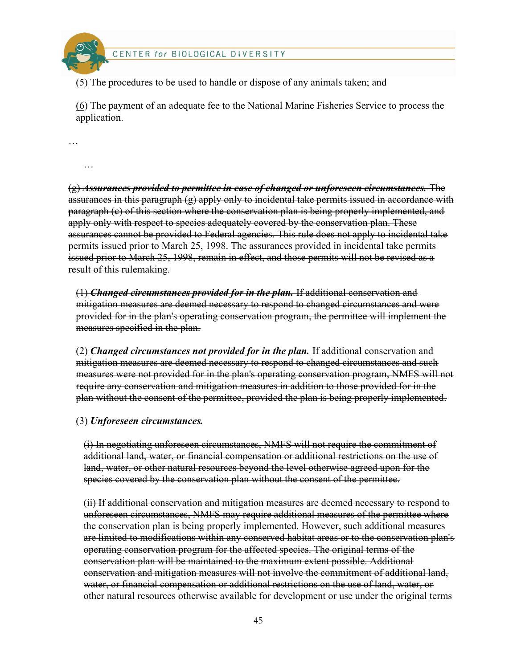

(5) The procedures to be used to handle or dispose of any animals taken; and

(6) The payment of an adequate fee to the National Marine Fisheries Service to process the application.

…

…

 $\left(\mathbf{g}\right)$  Assurances provided to permittee in case of changed or unforeseen circumstances. The assurances in this paragraph  $(g)$  apply only to incidental take permits issued in accordance with paragraph (c) of this section where the conservation plan is being properly implemented, and apply only with respect to species adequately covered by the conservation plan. These assurances cannot be provided to Federal agencies. This rule does not apply to incidental take permits issued prior to March 25, 1998. The assurances provided in incidental take permits issued prior to March 25, 1998, remain in effect, and those permits will not be revised as a result of this rulemaking.

(1) Changed circumstances provided for in the plan. If additional conservation and mitigation measures are deemed necessary to respond to changed circumstances and were provided for in the plan's operating conservation program, the permittee will implement the measures specified in the plan.

 $(2)$  Changed circumstances not provided for in the plan. If additional conservation and mitigation measures are deemed necessary to respond to changed circumstances and such measures were not provided for in the plan's operating conservation program, NMFS will not require any conservation and mitigation measures in addition to those provided for in the plan without the consent of the permittee, provided the plan is being properly implemented.

#### (3) Unforeseen circumstances.

(i) In negotiating unforeseen circumstances, NMFS will not require the commitment of additional land, water, or financial compensation or additional restrictions on the use of land, water, or other natural resources beyond the level otherwise agreed upon for the species covered by the conservation plan without the consent of the permittee.

(ii) If additional conservation and mitigation measures are deemed necessary to respond to unforeseen circumstances, NMFS may require additional measures of the permittee where the conservation plan is being properly implemented. However, such additional measures are limited to modifications within any conserved habitat areas or to the conservation plan's operating conservation program for the affected species. The original terms of the conservation plan will be maintained to the maximum extent possible. Additional conservation and mitigation measures will not involve the commitment of additional land, water, or financial compensation or additional restrictions on the use of land, water, or other natural resources otherwise available for development or use under the original terms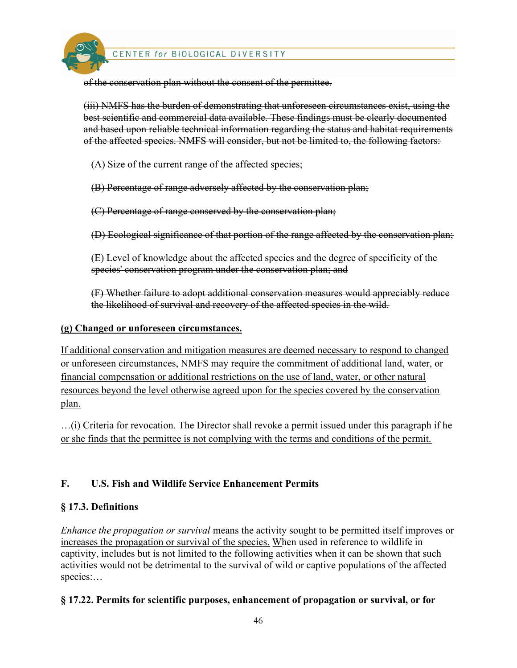

of the conservation plan without the consent of the permittee.

(iii) NMFS has the burden of demonstrating that unforeseen circumstances exist, using the best scientific and commercial data available. These findings must be clearly documented and based upon reliable technical information regarding the status and habitat requirements of the affected species. NMFS will consider, but not be limited to, the following factors:

 $(A)$  Size of the current range of the affected species;

(B) Percentage of range adversely affected by the conservation plan;

(C) Percentage of range conserved by the conservation plan;

(D) Ecological significance of that portion of the range affected by the conservation plan;

(E) Level of knowledge about the affected species and the degree of specificity of the species' conservation program under the conservation plan; and

(F) Whether failure to adopt additional conservation measures would appreciably reduce the likelihood of survival and recovery of the affected species in the wild.

#### (g) Changed or unforeseen circumstances.

If additional conservation and mitigation measures are deemed necessary to respond to changed or unforeseen circumstances, NMFS may require the commitment of additional land, water, or financial compensation or additional restrictions on the use of land, water, or other natural resources beyond the level otherwise agreed upon for the species covered by the conservation plan.

 $\dots$ (i) Criteria for revocation. The Director shall revoke a permit issued under this paragraph if he or she finds that the permittee is not complying with the terms and conditions of the permit.

## F. U.S. Fish and Wildlife Service Enhancement Permits

## § 17.3. Definitions

Enhance the propagation or survival means the activity sought to be permitted itself improves or increases the propagation or survival of the species. When used in reference to wildlife in captivity, includes but is not limited to the following activities when it can be shown that such activities would not be detrimental to the survival of wild or captive populations of the affected species:…

## § 17.22. Permits for scientific purposes, enhancement of propagation or survival, or for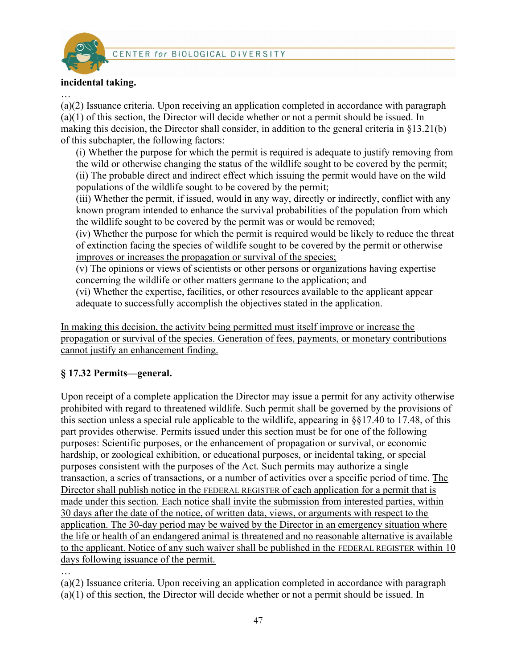

…

#### incidental taking.

(a)(2) Issuance criteria. Upon receiving an application completed in accordance with paragraph (a)(1) of this section, the Director will decide whether or not a permit should be issued. In making this decision, the Director shall consider, in addition to the general criteria in  $\S 13.21(b)$ of this subchapter, the following factors:

(i) Whether the purpose for which the permit is required is adequate to justify removing from the wild or otherwise changing the status of the wildlife sought to be covered by the permit; (ii) The probable direct and indirect effect which issuing the permit would have on the wild populations of the wildlife sought to be covered by the permit;

(iii) Whether the permit, if issued, would in any way, directly or indirectly, conflict with any known program intended to enhance the survival probabilities of the population from which the wildlife sought to be covered by the permit was or would be removed;

(iv) Whether the purpose for which the permit is required would be likely to reduce the threat of extinction facing the species of wildlife sought to be covered by the permit or otherwise improves or increases the propagation or survival of the species;

(v) The opinions or views of scientists or other persons or organizations having expertise concerning the wildlife or other matters germane to the application; and

(vi) Whether the expertise, facilities, or other resources available to the applicant appear adequate to successfully accomplish the objectives stated in the application.

In making this decision, the activity being permitted must itself improve or increase the propagation or survival of the species. Generation of fees, payments, or monetary contributions cannot justify an enhancement finding.

## § 17.32 Permits—general.

Upon receipt of a complete application the Director may issue a permit for any activity otherwise prohibited with regard to threatened wildlife. Such permit shall be governed by the provisions of this section unless a special rule applicable to the wildlife, appearing in §§17.40 to 17.48, of this part provides otherwise. Permits issued under this section must be for one of the following purposes: Scientific purposes, or the enhancement of propagation or survival, or economic hardship, or zoological exhibition, or educational purposes, or incidental taking, or special purposes consistent with the purposes of the Act. Such permits may authorize a single transaction, a series of transactions, or a number of activities over a specific period of time. The Director shall publish notice in the FEDERAL REGISTER of each application for a permit that is made under this section. Each notice shall invite the submission from interested parties, within 30 days after the date of the notice, of written data, views, or arguments with respect to the application. The 30-day period may be waived by the Director in an emergency situation where the life or health of an endangered animal is threatened and no reasonable alternative is available to the applicant. Notice of any such waiver shall be published in the FEDERAL REGISTER within 10 days following issuance of the permit.

…

(a)(2) Issuance criteria. Upon receiving an application completed in accordance with paragraph

(a)(1) of this section, the Director will decide whether or not a permit should be issued. In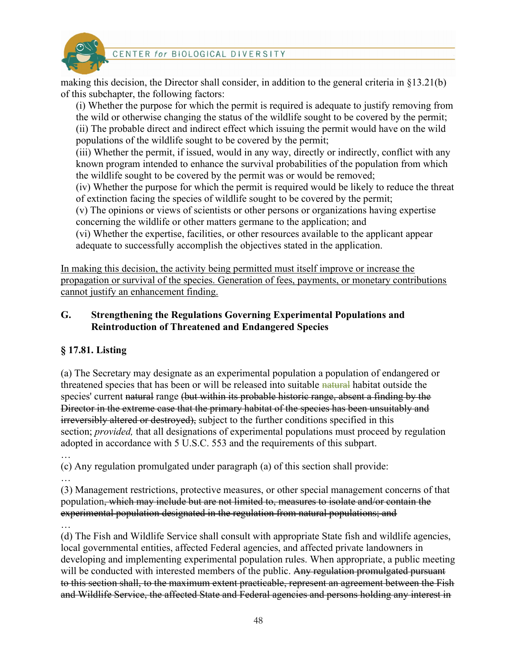

making this decision, the Director shall consider, in addition to the general criteria in  $\S 13.21(b)$ of this subchapter, the following factors:

(i) Whether the purpose for which the permit is required is adequate to justify removing from the wild or otherwise changing the status of the wildlife sought to be covered by the permit; (ii) The probable direct and indirect effect which issuing the permit would have on the wild populations of the wildlife sought to be covered by the permit;

(iii) Whether the permit, if issued, would in any way, directly or indirectly, conflict with any known program intended to enhance the survival probabilities of the population from which the wildlife sought to be covered by the permit was or would be removed;

(iv) Whether the purpose for which the permit is required would be likely to reduce the threat of extinction facing the species of wildlife sought to be covered by the permit;

(v) The opinions or views of scientists or other persons or organizations having expertise concerning the wildlife or other matters germane to the application; and

(vi) Whether the expertise, facilities, or other resources available to the applicant appear adequate to successfully accomplish the objectives stated in the application.

In making this decision, the activity being permitted must itself improve or increase the propagation or survival of the species. Generation of fees, payments, or monetary contributions cannot justify an enhancement finding.

# G. Strengthening the Regulations Governing Experimental Populations and Reintroduction of Threatened and Endangered Species

# § 17.81. Listing

(a) The Secretary may designate as an experimental population a population of endangered or threatened species that has been or will be released into suitable natural habitat outside the species' current natural range (but within its probable historic range, absent a finding by the Director in the extreme case that the primary habitat of the species has been unsuitably and irreversibly altered or destroyed), subject to the further conditions specified in this section; *provided*, that all designations of experimental populations must proceed by regulation adopted in accordance with 5 U.S.C. 553 and the requirements of this subpart.

… (c) Any regulation promulgated under paragraph (a) of this section shall provide: …

(3) Management restrictions, protective measures, or other special management concerns of that population, which may include but are not limited to, measures to isolate and/or contain the experimental population designated in the regulation from natural populations; and

…

(d) The Fish and Wildlife Service shall consult with appropriate State fish and wildlife agencies, local governmental entities, affected Federal agencies, and affected private landowners in developing and implementing experimental population rules. When appropriate, a public meeting will be conducted with interested members of the public. Any regulation promulgated pursuant to this section shall, to the maximum extent practicable, represent an agreement between the Fish and Wildlife Service, the affected State and Federal agencies and persons holding any interest in